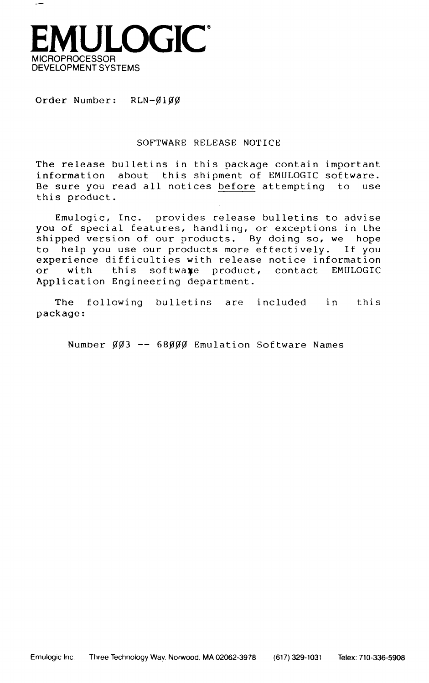

Order Number:  $RLN-\emptyset1\emptyset\emptyset$ 

# SOFTWARE RELEASE NOTICE

The release bulletins in this package contain important information about this shipment of EMULOGIC software. Be sure you read all notices before attempting to use this product.

Emulogic, Inc. provides release bulletins to advise you of special features, handling, or exceptions in the shipped version of our products. By doing so, we hope<br>to help you use our products more effectively. If you to help you use our products more effectively. experience difficulties with release notice information<br>or with this softwaxe product, contact EMULOGIC this softwaxe product, contact EMULOGIC Application Engineering department.

The following bulletins are included in this package:

Number  $\emptyset\emptyset$ 3 -- 68 $\emptyset\emptyset\emptyset$  Emulation Software Names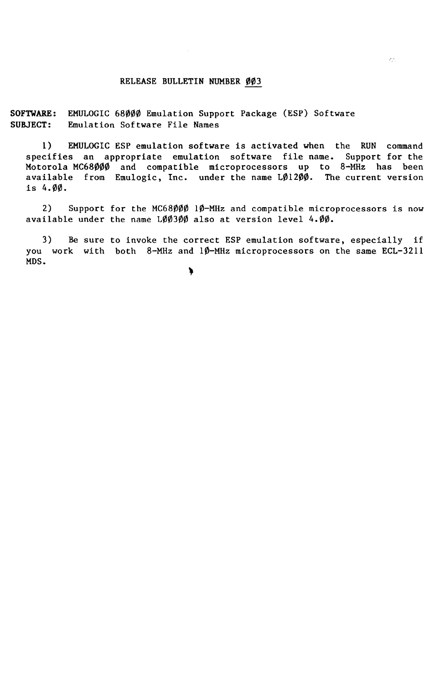# RELEASE BULLETIN NUMBER ØØ3

SOFTWARE: EMULOGIC 68000 Emulation Support Package (ESP) Software SUBJECT: Emulation Software File Names

1) EMULOGIC ESP emulation software is activated when the RUN command<br>cifies an appropriate emulation software file name. Support for the specifies an appropriate emulation software file name. Motorola MC68000 and compatible microprocessors up to 8-MHz has been<br>available from Emulogic, Inc. under the name LØ1200. The current version available from Emulogic, Inc. under the name LØ1200. is 4.00.

2) Support for the MC68000 10-MHz and compatible microprocessors is now available under the name LØØ3ØØ also at version level 4.00.

3) Be sure to invoke the correct ESP emulation software, especially if you work with both 8-MHz and 10-MHz microprocessors on the same ECL-3211 MDS.

١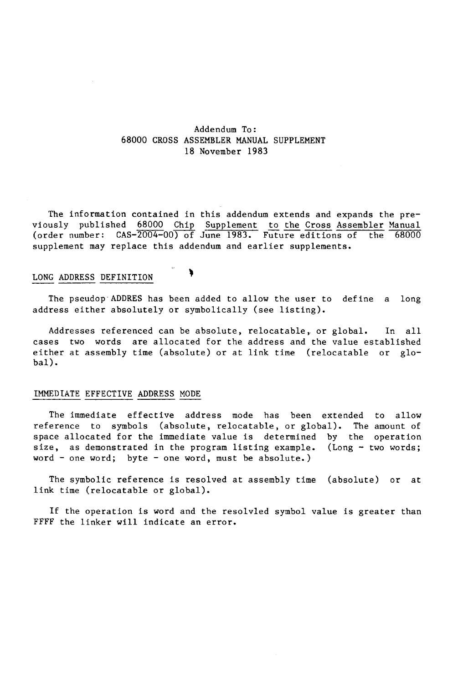# Addendum To: 68000 CROSS ASSEMBLER MANUAL SUPPLEMENT 18 November 1983

The information contained in this addendum extends and expands the previously published 68000 Chip Supplement to the Cross Assembler Manual **{order number:** CAS-2004-00~ **June 1983. Future-editions of the 68000**  supplement may replace this addendum and earlier supplements.

# LONG ADDRESS DEFINITION

The pseudop"ADDRES has been added to allow the user to define a long address either absolutely or symbolically (see listing).

℩

Addresses referenced can be absolute, relocatable, or global. In all cases two words are allocated for the address and the value established either at assembly time (absolute) or at link time (relocatable or global).

# IMMEDIATE EFFECTIVE ADDRESS MODE

The immediate effective address mode has been extended to allow reference to symbols (absolute, relocatable, or global). The amount of space allocated for the immediate value is determined by the operation size, as demonstrated in the program listing example. (Long  $-$  two words; word - one word; byte - one word, must be absolute.)

The symbolic reference is resolved at assembly time (absolute) or at link time (relocatable or global).

If the operation is word and the resolvled symbol value is greater than FFFF the linker will indicate an error.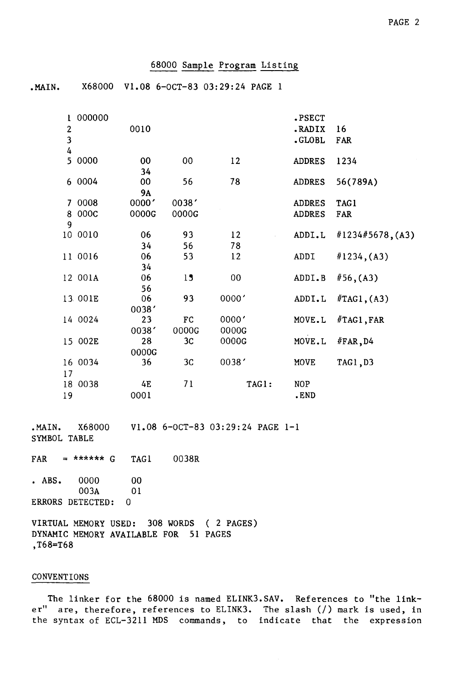# 68000 Sample Program Listing

.MAIN. X68000 V1.08 6-0CT-83 03:29:24 PAGE 1

| $\overline{\mathbf{c}}$ | 000000  | 0010      |                |        | .PSECT<br>.RADIX | 16               |
|-------------------------|---------|-----------|----------------|--------|------------------|------------------|
| $\overline{\mathbf{3}}$ |         |           |                |        | .GLOBL           |                  |
| $\overline{4}$          |         |           |                |        |                  | FAR              |
| 5                       | 0000    | 00        | $00\,$         | 12     | <b>ADDRES</b>    | 1234             |
|                         |         | 34        |                |        |                  |                  |
|                         | 6 0004  | 00        | 56             | 78     | <b>ADDRES</b>    | 56(789A)         |
|                         |         | <b>9A</b> |                |        |                  |                  |
|                         | 7 0008  | 0000'     | 0038'          |        | <b>ADDRES</b>    | <b>TAG1</b>      |
| 8                       | 000C    | 0000G     | 0000G          |        | <b>ADDRES</b>    | FAR              |
| 9                       |         |           |                |        |                  |                  |
|                         | 10 0010 | 06        | 93             | 12     | ADDI.L           | #1234#5678, (A3) |
|                         |         | 34        | 56             | 78     |                  |                  |
|                         | 11 0016 | 06        | 53             | 12     | ADDI             | #1234, (A3)      |
|                         |         | 34        |                |        |                  |                  |
|                         | 12 001A | 06        | 15             | $00\,$ | ADDI.B           | #56, (A3)        |
|                         |         | 56        |                |        |                  |                  |
|                         | 13 001E | 06        | 93             | 0000'  | ADDI.L           | #TAG1, (A3)      |
|                         |         | 0038'     |                |        |                  |                  |
|                         | 14 0024 | 23        | FC             | 0000'  | MOVE.L           | #TAG1, FAR       |
|                         |         | 0038'     | 0000G          | 0000G  |                  |                  |
|                         | 15 002E | 28        | 3 <sub>C</sub> | 0000G  | MOVE.L           | #FAR, D4         |
|                         |         | 0000G     |                |        |                  |                  |
|                         | 16 0034 | 36        | 3 <sub>C</sub> | 0038'  | MOVE             | TAG1, D3         |
| 17                      |         |           |                |        |                  |                  |
|                         | 18 0038 | 4E        | 71             | TAG1:  | NOP              |                  |
| 19                      |         | 0001      |                |        | .END             |                  |
|                         |         |           |                |        |                  |                  |
|                         |         |           |                |        |                  |                  |

.MAIN. X68000 V1.08 6-0CT-83 03:29:24 PAGE 1-1 SYMBOL TABLE

 $FAR = ****** G$  TAG1 0038R

• ABS. 0000 00<br>003A 01 003A ERRORS DETECTED: 0

VIRTUAL MEMORY USED: 308 WORDS (2 PAGES) DYNAMIC MEMORY AVAILABLE FOR 51 PAGES ,T68=T68

### CONVENTIONS

The linker for the 68000 is named ELINK3.SAV. References to "the linker" are, therefore, references to ELINK3. The slash (/) mark is used, in the syntax of ECL-3211 MDS commands, to indicate that the expression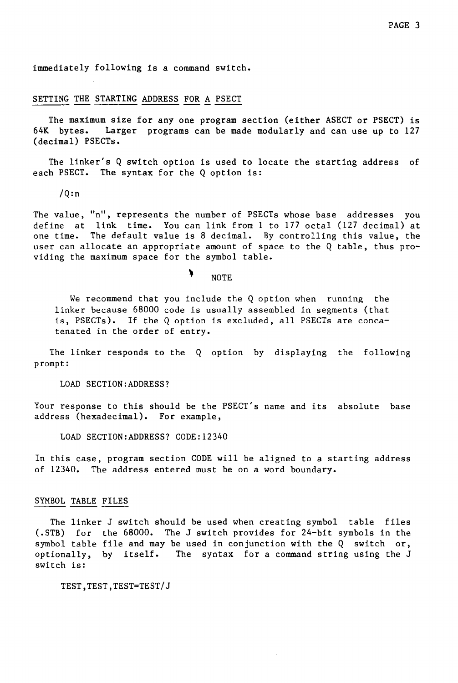immediately following is a command switch.

# SETTING THE STARTING ADDRESS FOR A PSECT

The maximum size for any one program section (either ASECT or PSECT) is<br>64K bytes. Larger programs can be made modularly and can use up to 127 Larger programs can be made modularly and can use up to 127 (decimal) PSECTs.

The linker's Q switch option is used to locate the starting address of each PSECT. The syntax for the Q option is:

 $/Q:n$ 

The value, "n", represents the number of PSECTs whose base addresses you define at link time. You can link from 1 to 177 octal (127 decimal) at one time. The default value is 8 decimal. By controlling this value, the user can allocate an appropriate amount of space to the Q table, thus providing the maximum space for the symbol table.

NOTE

¥

We recommend that you include the Q option when running the linker because 68000 code is usually assembled in segments (that is, PSECTs). If the Q option is excluded, all PSECTs are concatenated in the order of entry.

The linker responds to the Q option by displaying the following prompt:

LOAD SECTION:ADDRESS?

Your response to this should be the PSECT's name and its absolute base address (hexadecimal). For example,

LOAD SECTION:ADDRESS? CODE:12340

In this case, program section CODE will be aligned to a starting address of 12340. The address entered must be on a word boundary.

# SYMBOL TABLE FILES

The linker J switch should be used when creating symbol table files (.STB) for the 68000. The J switch provides for 24-bit symbols in the symbol table file and may be used in conjunction with the Q switch or, optionally, by itself. The syntax for a command string using the J switch is:

TEST,TEST,TEST=TEST/J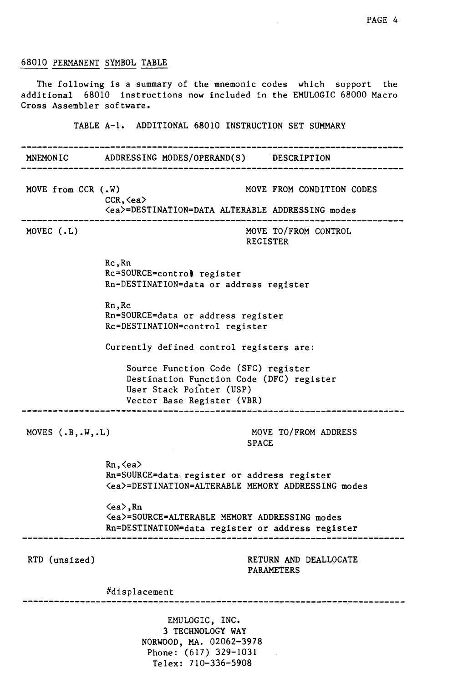# 68010 PERMANENT SYMBOL TABLE

The following is a summary of the mnemonic codes which support the additional 68010 instructions now included in the EMULOGIC 68000 Macro Cross Assembler software.

TABLE A-I. ADDITIONAL 68010 INSTRUCTION SET SUMMARY

MNEMONIC ADDRESSING MODES/OPERAND(S) DESCRIPTION MOVE from CCR (.W) MOVE FROM CONDITION CODES CCR,<ea) (ea)=DESTINATION=DATA ALTERABLE ADDRESSING modes ---------------------------------------------------------MOVE TO/FROM CONTROL MOVEC (.L) REGISTER  $Rc, Rn$ Rc=SOURCE=controllent register Rn=DESTINATION=data or address register Rn,Rc Rn=SOURCE=data or address register Rc=DESTINATION=control register Currently defined control registers are: Source Function Code (SFC) register Destination Function Code (DFC) register User Stack Pointer (USP) Vector Base Register (VBR) MOVES (.B,.W,.L) MOVE TO/FROM ADDRESS SPACE Rn,<ea) Rn=SOURCE=data;register or address register (ea)=DESTINATION=ALTERABLE MEMORY ADDRESSING modes <ea),Rn (ea)=SOURCE=ALTERABLE MEMORY ADDRESSING modes Rn=DESTINATION=data register or address register RTD (unsized) RETURN AND DEALLOCATE PARAMETERS #displacement EMULOGIC, INC. 3 TECHNOLOGY WAY NORWOOD, MA. 02062-3978

> Phone: (617) 329-1031 Telex: 710-336-5908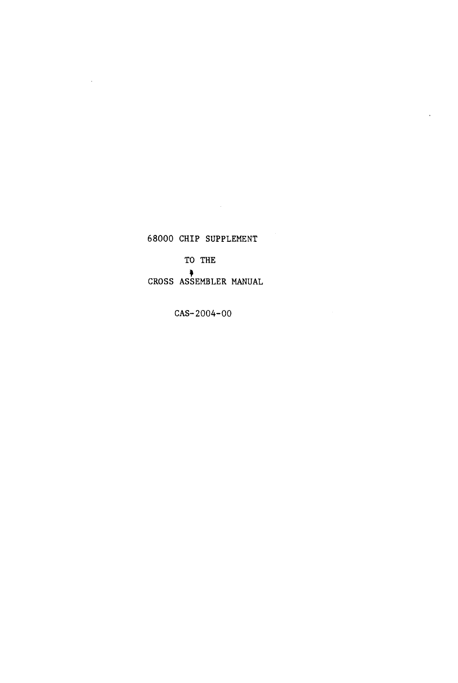# 68000 CHIP SUPPLEMENT

 $\bar{z}$ 

TO THE

CROSS ASSEMBLER • MANUAL

CAS-2004-00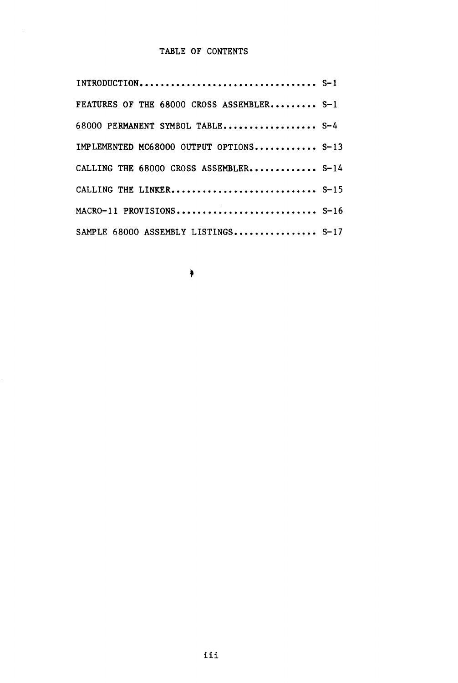# TABLE OF CONTENTS

 $\mathcal{A}^{\pm}$ 

| FEATURES OF THE 68000 CROSS ASSEMBLER S-1 |  |
|-------------------------------------------|--|
| 68000 PERMANENT SYMBOL TABLE S-4          |  |
| IMPLEMENTED MC68000 OUTPUT OPTIONS S-13   |  |
| CALLING THE 68000 CROSS ASSEMBLER S-14    |  |
| CALLING THE LINKER S-15                   |  |
| MACRO-11 PROVISIONS S-16                  |  |
| SAMPLE 68000 ASSEMBLY LISTINGS S-17       |  |

 $\begin{matrix} \color{blue}\bullet \color{black}\end{matrix}$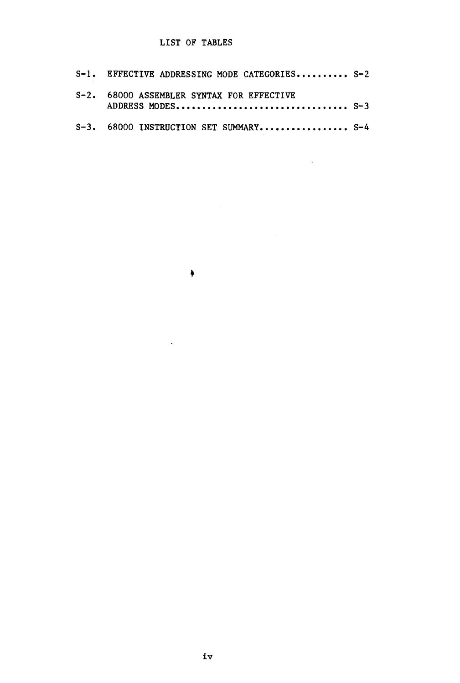# LIST OF TABLES

| S-1. EFFECTIVE ADDRESSING MODE CATEGORIES S-2 |  |
|-----------------------------------------------|--|
| S-2. 68000 ASSEMBLER SYNTAX FOR EFFECTIVE     |  |
| S-3. 68000 INSTRUCTION SET SUMMARY S-4        |  |

 $\begin{matrix} \begin{matrix} 1 \\ 1 \end{matrix} \end{matrix}$ 

 $\sim$   $\sim$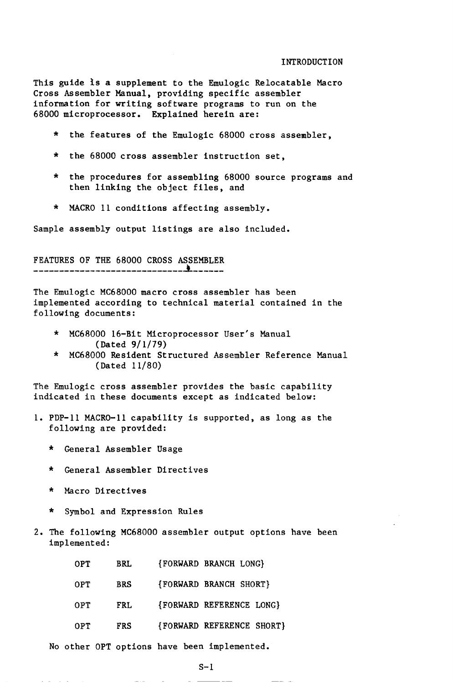This guide is a supplement to the Emulogic Relocatable Macro Cross Assembler Manual, providing specific assembler information for writing software programs to run on the 68000 microprocessor. Explained herein are:

- \* the features of the Emulogic 68000 cross assembler,
- the 68000 cross assembler instruction set,
- \* the procedures for assembling 68000 source programs and then linking the object files, and
- \* MACRO 11 conditions affecting assembly.

Sample assembly output listings are also included.

FEATURES OF THE 68000 CROSS ASSEMBLER

The Emulogic MC68000 macro cross assembler has been implemented according to technical material contained in the following documents:

- \* MC68000 16-Bit Microprocessor User's Manual (Dated 9/1/79)
- \* MC68000 Resident Structured Assembler Reference Manual (Dated 11/80)

The Emulogic cross assembler provides the basic capability indicated in these documents except as indicated below:

- 1. PDP-II MACRO-II capability is supported, as long as the following are provided:
	- \* General Assembler Usage
	- General Assembler Directives
	- Macro Directives
	- \* Symbol and Expression Rules
- 2. The following MC68000 assembler output options have been implemented:

| OPT. | <b>BRL</b> | FORWARD BRANCH LONG       |
|------|------------|---------------------------|
| 0PT  | <b>BRS</b> | {FORWARD BRANCH SHORT}    |
| 0PT. | FRL.       | {FORWARD REFERENCE LONG}  |
| 0PT. | <b>FRS</b> | {FORWARD REFERENCE SHORT} |

No other OPT options have been implemented.

 $S-1$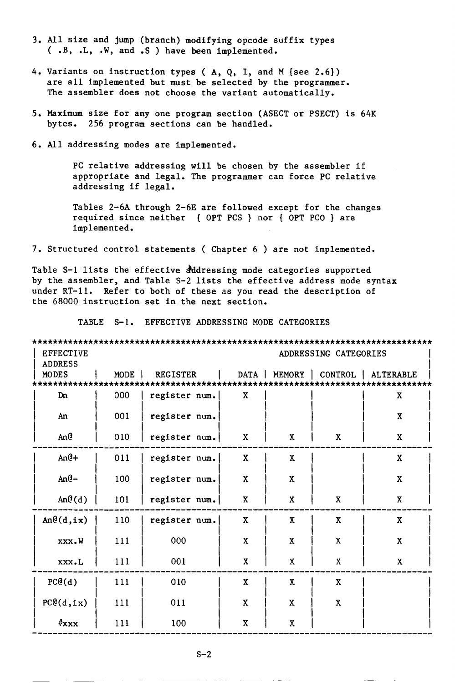- 3. All size and jump (branch) modifying opcode suffix types ( .B, .L, .W, and .S ) have been implemented.
- 4. Variants on instruction types ( A, Q, I, and M {see 2.6}) are all implemented but must be selected by the programmer. The assembler does not choose the variant automatically.
- 5. Maximum size for anyone program section (ASECT or PSECT) is 64K bytes. 256 program sections can be handled.
- 6. All addressing modes are implemented.

PC relative addressing will be chosen by the assembler if appropriate and legal. The programmer can force PC relative addressing if legal.

Tables 2-6A through 2-6E are followed except for the changes required since neither {OPT PCS } nor { OPT PCO } are implemented.

7. Structured control statements ( Chapter 6 ) are not implemented.

Table S-1 lists the effective dddressing mode categories supported by the assembler, and Table S-2 lists the effective address mode syntax under RT-11. Refer to both of these as you read the description of the 68000 instruction set in the next section.

TABLE S-1. EFFECTIVE ADDRESSING MODE CATEGORIES

|                  | ******************    |                 |                         |                           |                         |                                     |
|------------------|-----------------------|-----------------|-------------------------|---------------------------|-------------------------|-------------------------------------|
| <b>EFFECTIVE</b> | ADDRESSING CATEGORIES |                 |                         |                           |                         |                                     |
| <b>ADDRESS</b>   |                       |                 |                         |                           |                         |                                     |
| <b>MODES</b>     | MODE                  | <b>REGISTER</b> |                         |                           |                         | DATA   MEMORY   CONTROL   ALTERABLE |
| ************     | ********              |                 |                         |                           |                         |                                     |
| Dn               | 000                   | register num.   | $\mathbf{x}$            |                           |                         | $\mathbf X$                         |
| An               | 001                   | register num.   |                         |                           |                         | $\mathbf{X}$                        |
| An@              | 010                   | register num.   | $\mathbf x$             | X                         | X                       | $\pmb{\mathsf{X}}$                  |
| $An@+$           | 011                   | register num.   | X                       | $\mathbf{x}$              |                         | $\mathbf{x}$                        |
| $An@-$           | 100                   | register num.   | $\mathbf{x}$            | X                         |                         | $\mathbf x$                         |
| An@(d)           | 101                   | register num.   | $\mathbf X$             | $\boldsymbol{\mathrm{X}}$ | $\overline{\textbf{X}}$ | $\pmb{\mathsf{X}}$                  |
| An@(d,ix)        | 110                   | register num.   | $\overline{\mathbf{X}}$ | $\overline{\mathbf{X}}$   | $\overline{\mathbf{X}}$ | $\mathbf X$                         |
| xxx.W            | 111                   | 000             | $\overline{\mathbf{X}}$ | $\mathbf x$               | X                       | $\mathbf{X}$                        |
| xxx.L            | 111                   | 001             | $\overline{\textbf{X}}$ | $\pmb{\mathsf{X}}$        | $\mathbf X$             | $\overline{\mathbf{X}}$             |
| PC@(d)           | 111                   | 010             | X                       | $\mathbf x$               | $\overline{\mathbf{X}}$ |                                     |
| PC@(d, ix)       | 111                   | 011             | $\mathbf{X}$            | X                         | $\mathbf{X}$            |                                     |
| $#$ xxx          | 111                   | 100             | $\mathbf{x}$            | X                         |                         |                                     |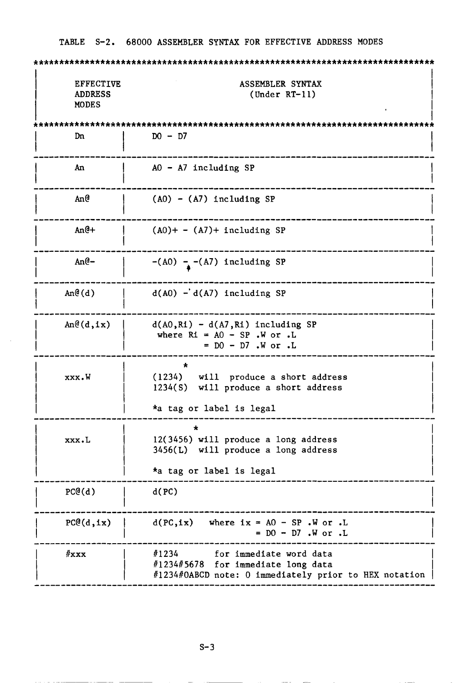| <b>EFFECTIVE</b><br><b>ADDRESS</b><br><b>MODES</b> | ASSEMBLER SYNTAX<br>$(Under RT-11)$                                                                                             |
|----------------------------------------------------|---------------------------------------------------------------------------------------------------------------------------------|
|                                                    |                                                                                                                                 |
| Dn                                                 | $DO - D7$                                                                                                                       |
| An                                                 | $AO - A7$ including SP                                                                                                          |
| An@                                                | $(A0) - (A7)$ including SP                                                                                                      |
| $An@+$                                             | $(A0)$ + - $(A7)$ + including SP                                                                                                |
| $An@-$                                             | $-(A0) - (A7)$ including SP                                                                                                     |
| An@(d)                                             | $d(A0) - d(A7)$ including SP                                                                                                    |
| An@(d,ix)                                          | $d(A0, R1) - d(A7, R1)$ including SP<br>where $R1 = AO - SP$ . W or. L<br>$= D0 - D7$ . W or . L                                |
| xxx.W                                              | (1234) will produce a short address<br>1234(S) will produce a short address<br>*a tag or label is legal                         |
|                                                    |                                                                                                                                 |
| xxx.L                                              | 12(3456) will produce a long address<br>$3456(L)$ will produce a long address                                                   |
|                                                    | *a tag or label is legal                                                                                                        |
| PC@(d)                                             | d(PC)                                                                                                                           |
| PC@(d,ix)                                          | $d(PC, ix)$ where $ix = AO - SP$ . W or. L<br>$= D0 - D7$ . W or. L                                                             |
| #xxxx                                              | #1234<br>for immediate word data<br>#1234#5678 for immediate long data<br>#1234#OABCD note: 0 immediately prior to HEX notation |

 $\mathcal{A}^{\mathcal{A}}$ 

TABLE S-2. 68000 ASSEMBLER SYNTAX FOR EFFECTIVE ADDRESS MODES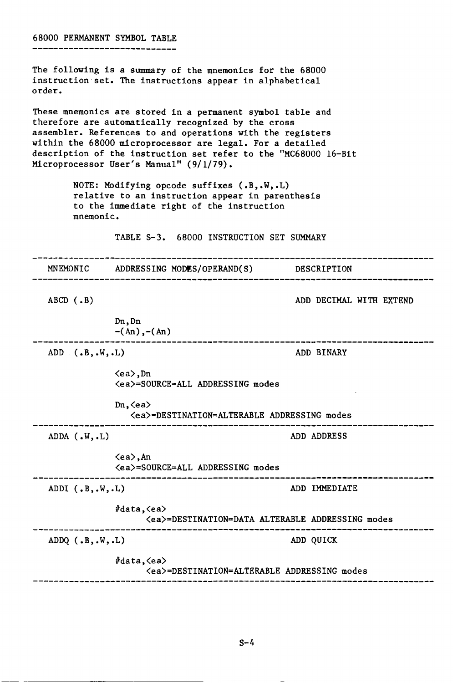68000 PERMANENT SYMBOL TABLE The following is a summary of the mnemonics for the 68000 instruction set. The instructions appear in alphabetical order. These mnemonics are stored in a permanent symbol table and therefore are automatically recognized by the cross assembler. References to and operations with the registers within the 68000 microprocessor are legal. For a detailed description of the instruction set refer to the "MC68000 16-Bit Microprocessor User's Manual" (9/1/79). NOTE: Modifying opcode suffixes (.B,.W,.L) relative to an instruction appear in parenthesis to the immediate right of the instruction mnemonic. TABLE 5-3. 68000 INSTRUCTION SET SUMMARY MNEMONIC ADDRESSING MODES/OPERAND(S) DESCRIPTION ABCD (.B) ADD DECIMAL WITH EXTEND Dn,Dn  $-(An), -(An)$ ,,,,,,,,,,,,,,,,,,,,,,,,,,,,,,,, ....------------------------ADD (.B, .W, .L) ADD BINARY (ea),Dn (ea)=SOURCE=ALL ADDRESSING modes Dn,  $\langle$ ea> (ea)=DESTINATION=ALTERABLE ADDRESSING modes ------------------------------------------------------ADDA (.W, .L) ADD ADDRESS (ea),An (ea)=SOURCE=ALL ADDRESSING modes ADDI (.B,.W,.L) ADD IMMEDIATE *Ildata,(ea)*  (ea)=DESTINATION=DATA ALTERABLE ADDRESSING modes -----------ADDQ (.B,.W,.L) ADD QUICK #data, <ea> (ea)=DESTINATION=ALTERABLE ADDRESSING modes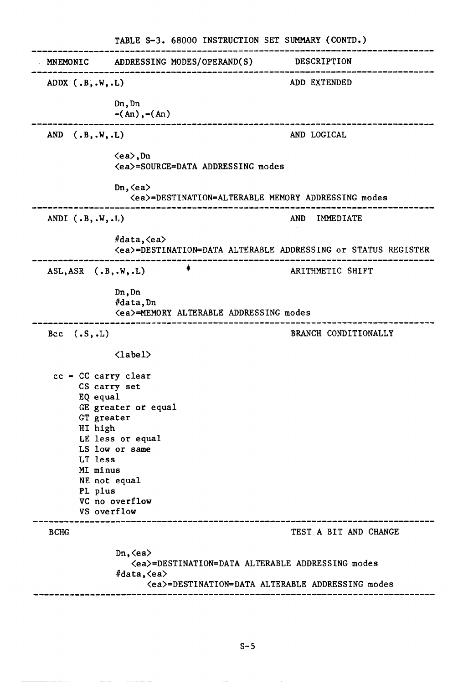|                                                                                                                                             | TABLE S-3. 68000 INSTRUCTION SET SUMMARY (CONTD.)                                                                                                                |                         |
|---------------------------------------------------------------------------------------------------------------------------------------------|------------------------------------------------------------------------------------------------------------------------------------------------------------------|-------------------------|
| MNEMONIC                                                                                                                                    | ADDRESSING MODES/OPERAND(S)                                                                                                                                      | DESCRIPTION             |
| ADDX $(.B, .W, .L)$                                                                                                                         |                                                                                                                                                                  | ADD EXTENDED            |
|                                                                                                                                             | Dn, Dn<br>$-(An), -(An)$                                                                                                                                         |                         |
| (.B, .W, .L)<br>AND                                                                                                                         |                                                                                                                                                                  | AND LOGICAL             |
|                                                                                                                                             | $\langle ea \rangle$ , Dn<br><ea>=SOURCE=DATA ADDRESSING modes</ea>                                                                                              |                         |
|                                                                                                                                             | Dn, $\langle$ ea $\rangle$<br><ea>=DESTINATION=ALTERABLE MEMORY ADDRESSING modes</ea>                                                                            |                         |
| ANDI $(.B, .W, .L)$                                                                                                                         |                                                                                                                                                                  | <b>AND</b><br>IMMEDIATE |
|                                                                                                                                             | #data, <ea><br/><ea>=DESTINATION=DATA ALTERABLE ADDRESSING or STATUS REGISTER</ea></ea>                                                                          |                         |
| $ASL, ASR$ (.B,.W,.L)                                                                                                                       |                                                                                                                                                                  | ARITHMETIC SHIFT        |
|                                                                                                                                             | Dn, Dn<br>#data, Dn<br><ea>=MEMORY ALTERABLE ADDRESSING modes</ea>                                                                                               |                         |
| Bcc $(.S, .L)$                                                                                                                              |                                                                                                                                                                  | BRANCH CONDITIONALLY    |
|                                                                                                                                             | $\langle$ label>                                                                                                                                                 |                         |
| $cc = CC carry clear$<br>CS carry set<br>EQ equal<br>GT greater<br>HI high<br>LT less<br>MI minus<br>NE not equal<br>PL plus<br>VS overflow | GE greater or equal<br>LE less or equal<br>LS low or same<br>VC no overflow                                                                                      |                         |
| <b>BCHG</b>                                                                                                                                 |                                                                                                                                                                  | TEST A BIT AND CHANGE   |
|                                                                                                                                             | $Dn, \langle ea \rangle$<br><ea>=DESTINATION=DATA ALTERABLE ADDRESSING modes<br/>#data, <ea><br/><ea>=DESTINATION=DATA ALTERABLE ADDRESSING modes</ea></ea></ea> |                         |

 $\alpha$  is a sec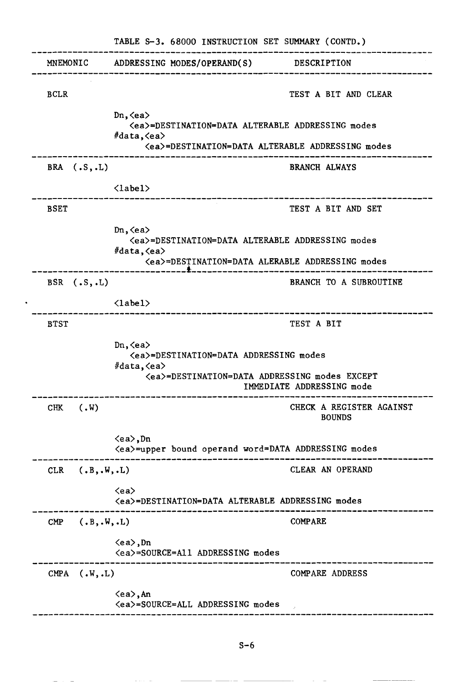| MNEMONIC<br>ADDRESSING MODES/OPERAND(S) DESCRIPTION<br><b>BCLR</b>                                                                                                                  |                       |
|-------------------------------------------------------------------------------------------------------------------------------------------------------------------------------------|-----------------------|
|                                                                                                                                                                                     |                       |
|                                                                                                                                                                                     | TEST A BIT AND CLEAR  |
| $Dn, \langle ea \rangle$<br><ea>=DESTINATION=DATA ALTERABLE ADDRESSING modes<br/>#data, <ea><br/><ea>=DESTINATION=DATA ALTERABLE ADDRESSING modes</ea></ea></ea>                    |                       |
| BRA $(.S, .L)$<br><b>BRANCH ALWAYS</b>                                                                                                                                              |                       |
| $\langle$ label $\rangle$                                                                                                                                                           |                       |
| <b>BSET</b><br>TEST A BIT AND SET                                                                                                                                                   |                       |
| $Dn, \langle ea \rangle$<br><ea>=DESTINATION=DATA ALTERABLE ADDRESSING modes<br/>#data,<math>\langle</math>ea&gt;<br/><ea>=DESTINATION=DATA ALERABLE ADDRESSING modes</ea></ea>     |                       |
| BRANCH TO A SUBROUTINE<br>BSR $(.S, .L)$                                                                                                                                            |                       |
| $\langle$ label $\rangle$<br>-----------------------                                                                                                                                | ,,,,,,,,,,,,,,,,,,,,, |
| TEST A BIT<br><b>BTST</b>                                                                                                                                                           |                       |
| Dn, $\langle$ ea $\rangle$<br><ea>=DESTINATION=DATA ADDRESSING modes<br/>#data, <ea><br/><ea>=DESTINATION=DATA ADDRESSING modes EXCEPT<br/>IMMEDIATE ADDRESSING mode</ea></ea></ea> |                       |
| CHECK A REGISTER AGAINST<br>(.W)<br>CHK<br><b>BOUNDS</b>                                                                                                                            |                       |
| $\langle ea \rangle$ , Dn<br><ea>=upper bound operand word=DATA ADDRESSING modes</ea>                                                                                               |                       |
| CLEAR AN OPERAND<br>(.B, .W, .L)<br>CLR                                                                                                                                             |                       |
| $\langle$ ea $\rangle$<br><ea>=DESTINATION=DATA ALTERABLE ADDRESSING modes</ea>                                                                                                     |                       |
| <b>COMPARE</b><br>(.B, .W, .L)<br>$\mathbf{CMP}$                                                                                                                                    |                       |
| $\langle ea \rangle$ , Dn<br><ea>=SOURCE=All ADDRESSING modes</ea>                                                                                                                  |                       |
| CMPA $(N, L)$<br>COMPARE ADDRESS                                                                                                                                                    |                       |
| <ea>, An<br/><ea>=SOURCE=ALL ADDRESSING modes</ea></ea>                                                                                                                             |                       |

 $\ddot{\phantom{0}}$ 

 $S-6$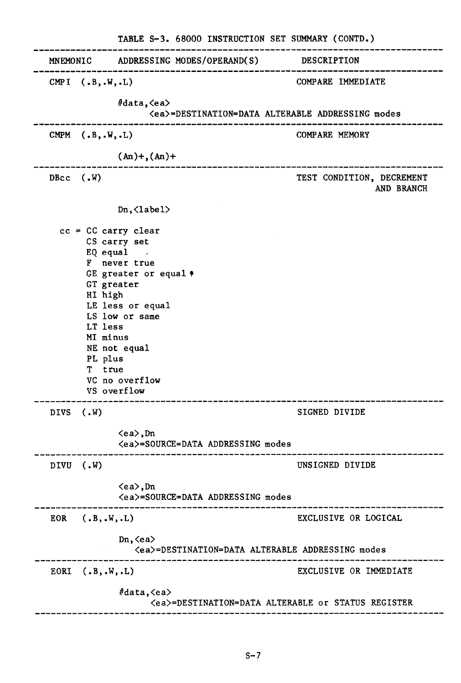|                                                                                            | TABLE S-3. 68000 INSTRUCTION SET SUMMARY (CONTD.)                                                                                                                            |                                         |
|--------------------------------------------------------------------------------------------|------------------------------------------------------------------------------------------------------------------------------------------------------------------------------|-----------------------------------------|
|                                                                                            | MNEMONIC ADDRESSING MODES/OPERAND(S) DESCRIPTION                                                                                                                             |                                         |
| CMPI $(.B, .W, .L)$                                                                        | #data, <ea><br/><ea>=DESTINATION=DATA ALTERABLE ADDRESSING modes</ea></ea>                                                                                                   | COMPARE IMMEDIATE                       |
| CMPM $(.B, .W, .L)$                                                                        |                                                                                                                                                                              | COMPARE MEMORY                          |
|                                                                                            | $(An) +$ , $(An) +$                                                                                                                                                          |                                         |
| DBcc $(W, W)$                                                                              |                                                                                                                                                                              | TEST CONDITION, DECREMENT<br>AND BRANCH |
|                                                                                            | $Dn, \langle \text{label} \rangle$                                                                                                                                           |                                         |
| $cc = CC carry clear$<br>GT greater<br>HI high<br>LT less<br>MI minus<br>PL plus<br>T true | CS carry set<br>EQ equal $\overline{z}$<br>F never true<br>GE greater or equal $\ast$<br>LE less or equal<br>LS low or same<br>NE not equal<br>VC no overflow<br>VS overflow |                                         |
| <b>DIVS</b><br>$(N \cdot V)$                                                               |                                                                                                                                                                              | SIGNED DIVIDE                           |
|                                                                                            | $\langle ea \rangle$ , Dn<br><ea>=SOURCE=DATA ADDRESSING modes</ea>                                                                                                          |                                         |
| DIVU (.W)                                                                                  |                                                                                                                                                                              | UNSIGNED DIVIDE                         |
|                                                                                            | $\langle ea \rangle$ , Dn<br><ea>=SOURCE=DATA ADDRESSING modes</ea>                                                                                                          |                                         |
| (.B, .W, .L)<br>EOR                                                                        |                                                                                                                                                                              | EXCLUSIVE OR LOGICAL                    |
|                                                                                            | $Dn, \langle ea \rangle$<br><ea>=DESTINATION=DATA ALTERABLE ADDRESSING modes</ea>                                                                                            |                                         |
| EORI $(.B, .W, .L)$                                                                        |                                                                                                                                                                              | EXCLUSIVE OR IMMEDIATE                  |
|                                                                                            | #data, <ea><br/><ea>=DESTINATION=DATA ALTERABLE or STATUS REGISTER</ea></ea>                                                                                                 |                                         |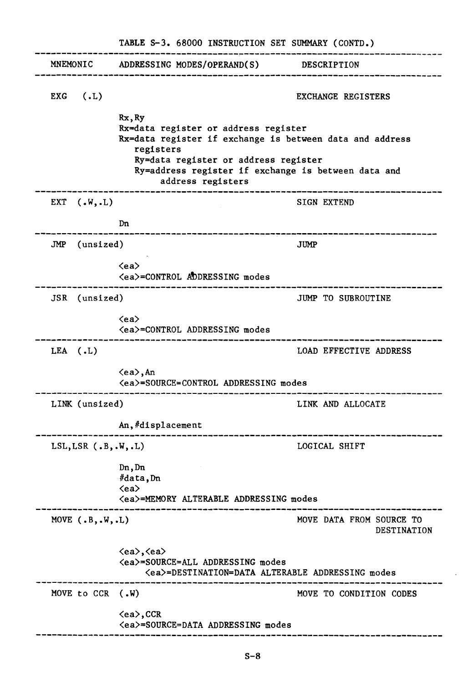|                                               | TABLE S-3. 68000 INSTRUCTION SET SUMMARY (CONTD.)                                                                                                                                                                                           |                                         |
|-----------------------------------------------|---------------------------------------------------------------------------------------------------------------------------------------------------------------------------------------------------------------------------------------------|-----------------------------------------|
| MNEMONIC                                      | ADDRESSING MODES/OPERAND(S)                                                                                                                                                                                                                 | DESCRIPTION                             |
| (.L)<br>EXG                                   |                                                                                                                                                                                                                                             | EXCHANGE REGISTERS                      |
|                                               | Rx, Ry<br>Rx=data register or address register<br>Rx=data register if exchange is between data and address<br>registers<br>Ry=data register or address register<br>Ry=address register if exchange is between data and<br>address registers |                                         |
| EXT $(\cdot \, \mathsf{W}, \cdot \mathsf{L})$ |                                                                                                                                                                                                                                             | <b>SIGN EXTEND</b>                      |
|                                               | Dn<br>-------------------------                                                                                                                                                                                                             |                                         |
| (unsized)<br>JMP                              |                                                                                                                                                                                                                                             | <b>JUMP</b>                             |
|                                               | $\langle$ ea $\rangle$<br><ea>=CONTROL ADDRESSING modes</ea>                                                                                                                                                                                |                                         |
| JSR (unsized)                                 |                                                                                                                                                                                                                                             | JUMP TO SUBROUTINE                      |
|                                               | $\langle$ ea $\rangle$<br><ea>=CONTROL ADDRESSING modes</ea>                                                                                                                                                                                |                                         |
| $LEA$ (.L)                                    |                                                                                                                                                                                                                                             | LOAD EFFECTIVE ADDRESS                  |
|                                               | $\langle ea \rangle$ , An<br><ea>=SOURCE=CONTROL ADDRESSING modes</ea>                                                                                                                                                                      |                                         |
| LINK (unsized)                                |                                                                                                                                                                                                                                             | LINK AND ALLOCATE                       |
|                                               | An, #displacement                                                                                                                                                                                                                           |                                         |
| LSL, LSR $(.B, .W, .L)$                       |                                                                                                                                                                                                                                             | LOGICAL SHIFT                           |
|                                               | Dn, Dn<br>#data, Dn<br>$\langle$ ea $\rangle$                                                                                                                                                                                               |                                         |
|                                               | <ea>=MEMORY ALTERABLE ADDRESSING modes</ea>                                                                                                                                                                                                 |                                         |
| MOVE $(.B, .W, .L)$                           |                                                                                                                                                                                                                                             | MOVE DATA FROM SOURCE TO<br>DESTINATION |
|                                               | <ea>,<ea><br/><ea>=SOURCE=ALL ADDRESSING modes<br/><ea>=DESTINATION=DATA ALTERABLE ADDRESSING modes</ea></ea></ea></ea>                                                                                                                     |                                         |
| MOVE to CCR (.W)                              |                                                                                                                                                                                                                                             | MOVE TO CONDITION CODES                 |
|                                               | $\langle$ ea $\rangle$ , CCR<br><ea>=SOURCE=DATA ADDRESSING modes</ea>                                                                                                                                                                      |                                         |

 $\hat{\mathcal{L}}$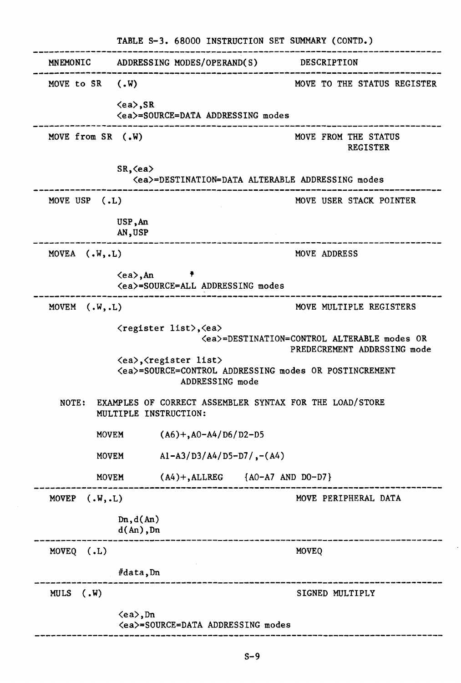|                     | TABLE S-3. 68000 INSTRUCTION SET SUMMARY (CONTD.)                                                                          |                                                                                  |  |  |
|---------------------|----------------------------------------------------------------------------------------------------------------------------|----------------------------------------------------------------------------------|--|--|
| MNEMONIC            | ADDRESSING MODES/OPERAND(S) DESCRIPTION                                                                                    |                                                                                  |  |  |
| MOVE to SR $(N)$    |                                                                                                                            | MOVE TO THE STATUS REGISTER                                                      |  |  |
|                     | $\langle ea \rangle$ , SR<br><ea>=SOURCE=DATA ADDRESSING modes</ea>                                                        |                                                                                  |  |  |
| MOVE from SR (.W)   |                                                                                                                            | MOVE FROM THE STATUS<br><b>REGISTER</b>                                          |  |  |
|                     | $SR, \langle ea \rangle$                                                                                                   | <ea>=DESTINATION=DATA ALTERABLE ADDRESSING modes</ea>                            |  |  |
| MOVE USP (.L)       |                                                                                                                            | MOVE USER STACK POINTER                                                          |  |  |
|                     | USP, An<br>AN, USP                                                                                                         |                                                                                  |  |  |
| MOVEA $(N, L)$      |                                                                                                                            | MOVE ADDRESS                                                                     |  |  |
|                     | <ea>, An<br/><ea>=SOURCE=ALL ADDRESSING modes</ea></ea>                                                                    |                                                                                  |  |  |
| MOVEM $(N, L)$      |                                                                                                                            | MOVE MULTIPLE REGISTERS                                                          |  |  |
|                     | <register list="">, <ea></ea></register>                                                                                   | <ea>=DESTINATION=CONTROL ALTERABLE modes OR<br/>PREDECREMENT ADDRSSING mode</ea> |  |  |
|                     | <ea>,<register list=""><br/><ea>=SOURCE=CONTROL ADDRESSING modes OR POSTINCREMENT<br/>ADDRESSING mode</ea></register></ea> |                                                                                  |  |  |
| NOTE:               | EXAMPLES OF CORRECT ASSEMBLER SYNTAX FOR THE LOAD/STORE<br>MULTIPLE INSTRUCTION:                                           |                                                                                  |  |  |
| <b>MOVEM</b>        | $(A6) + A0 - A4/D6/D2 - D5$                                                                                                |                                                                                  |  |  |
| <b>MOVEM</b>        | $A1 - A3/D3/A4/D5 - D7/$ , $-(A4)$                                                                                         |                                                                                  |  |  |
| MOVEM               | $(A4)$ +, ALLREG $\{AO-A7 AND DO-D7\}$                                                                                     |                                                                                  |  |  |
| MOVEP<br>(.W, .L)   |                                                                                                                            | MOVE PERIPHERAL DATA                                                             |  |  |
|                     | Dn, d(An)<br>$d(An)$ , Dn                                                                                                  |                                                                                  |  |  |
| MOVEQ $(.L)$        |                                                                                                                            | MOVEQ                                                                            |  |  |
|                     | #data, Dn                                                                                                                  |                                                                                  |  |  |
| (N.)<br><b>MULS</b> |                                                                                                                            | SIGNED MULTIPLY                                                                  |  |  |
|                     | <ea>,Dn<br/><ea>=SOURCE=DATA ADDRESSING modes</ea></ea>                                                                    |                                                                                  |  |  |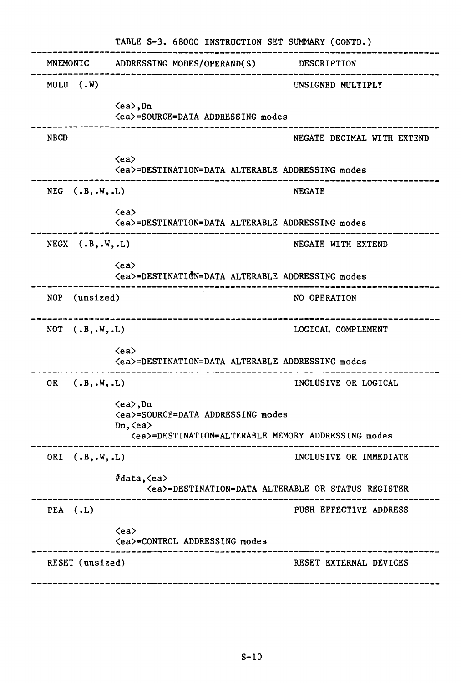|                         | TABLE S-3. 68000 INSTRUCTION SET SUMMARY (CONTD.)                                                                                                                       |                            |
|-------------------------|-------------------------------------------------------------------------------------------------------------------------------------------------------------------------|----------------------------|
| MNEMONIC                | ADDRESSING MODES/OPERAND(S)                                                                                                                                             | DESCRIPTION                |
| MULU $(N)$              |                                                                                                                                                                         | UNSIGNED MULTIPLY          |
|                         | $\langle ea \rangle$ , Dn<br><ea>=SOURCE=DATA ADDRESSING modes</ea>                                                                                                     |                            |
| <b>NBCD</b>             |                                                                                                                                                                         | NEGATE DECIMAL WITH EXTEND |
|                         | $\langle$ ea $\rangle$<br><ea>=DESTINATION=DATA ALTERABLE ADDRESSING modes</ea>                                                                                         |                            |
| NEG $(.B, .W, .L)$      |                                                                                                                                                                         | <b>NEGATE</b>              |
|                         | $\langle$ ea $\rangle$<br><ea>=DESTINATION=DATA ALTERABLE ADDRESSING modes</ea>                                                                                         |                            |
| $NEGX$ $(.B,.W,.L)$     |                                                                                                                                                                         | NEGATE WITH EXTEND         |
|                         | $\langle$ ea $\rangle$<br><ea>=DESTINATION=DATA ALTERABLE ADDRESSING modes</ea>                                                                                         |                            |
| (unsized)<br><b>NOP</b> |                                                                                                                                                                         | NO OPERATION               |
| NOT $(.B, .W, .L)$      | --------------------------                                                                                                                                              | LOGICAL COMPLEMENT         |
|                         | $\langle$ ea $\rangle$<br><ea>=DESTINATION=DATA ALTERABLE ADDRESSING modes</ea>                                                                                         |                            |
| 0R<br>(.B, .W, .L)      |                                                                                                                                                                         | INCLUSIVE OR LOGICAL       |
|                         | $\langle ea \rangle$ , Dn<br><ea>=SOURCE=DATA ADDRESSING modes<br/><math>Dn, \langle ea \rangle</math><br/><ea>=DESTINATION=ALTERABLE MEMORY ADDRESSING modes</ea></ea> |                            |
| ORI $(.B, .W, .L)$      |                                                                                                                                                                         | INCLUSIVE OR IMMEDIATE     |
|                         | #data, <ea><br/><ea>=DESTINATION=DATA ALTERABLE OR STATUS REGISTER</ea></ea>                                                                                            |                            |
| PEA $(.L)$              |                                                                                                                                                                         | PUSH EFFECTIVE ADDRESS     |
|                         | $\langle$ ea $\rangle$<br><ea>=CONTROL ADDRESSING modes</ea>                                                                                                            |                            |
| RESET (unsized)         |                                                                                                                                                                         | RESET EXTERNAL DEVICES     |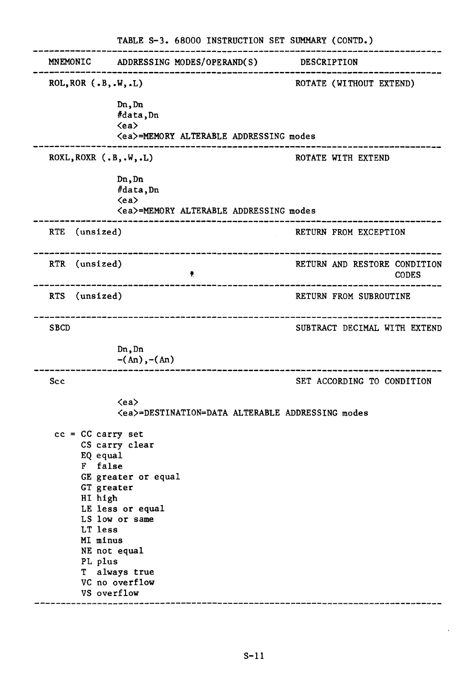|                                                                                                                           | TABLE S-3. 68000 INSTRUCTION SET SUMMARY (CONTD.)                                                                            |                                              |
|---------------------------------------------------------------------------------------------------------------------------|------------------------------------------------------------------------------------------------------------------------------|----------------------------------------------|
| MNEMONIC                                                                                                                  | ADDRESSING MODES/OPERAND(S)                                                                                                  | DESCRIPTION                                  |
| ROL, ROR $(.B, .W, .L)$                                                                                                   |                                                                                                                              | ROTATE (WITHOUT EXTEND)                      |
|                                                                                                                           | Dn, Dn<br>#data, Dn<br>$\langle$ ea><br><ea>=MEMORY ALTERABLE ADDRESSING modes</ea>                                          |                                              |
| $ROXL, ROXR$ $(.B, .W, .L)$                                                                                               |                                                                                                                              | ROTATE WITH EXTEND                           |
|                                                                                                                           | Dn, Dn<br>#data, Dn<br>$\langle ea \rangle$<br><ea>=MEMORY ALTERABLE ADDRESSING modes</ea>                                   |                                              |
| RTE (unsized)                                                                                                             |                                                                                                                              | RETURN FROM EXCEPTION                        |
| RTR (unsized)                                                                                                             | Ŷ.                                                                                                                           | RETURN AND RESTORE CONDITION<br><b>CODES</b> |
| RTS (unsized)                                                                                                             |                                                                                                                              | RETURN FROM SUBROUTINE                       |
| <b>SBCD</b>                                                                                                               | -----------------------------                                                                                                | SUBTRACT DECIMAL WITH EXTEND                 |
|                                                                                                                           | Dn, Dn<br>$-(An), -(An)$                                                                                                     |                                              |
| Scc                                                                                                                       |                                                                                                                              | SET ACCORDING TO CONDITION                   |
|                                                                                                                           | $\langle$ ea $\rangle$<br><ea>=DESTINATION=DATA ALTERABLE ADDRESSING modes</ea>                                              |                                              |
| $cc = CC carry set$<br>EQ equal<br>F false<br>GT greater<br>HI high<br>LT less<br>MI minus<br>PL plus<br>T<br>VS overflow | CS carry clear<br>GE greater or equal<br>LE less or equal<br>LS low or same<br>NE not equal<br>always true<br>VC no overflow |                                              |

 $\mathcal{A}^{\mathcal{A}}$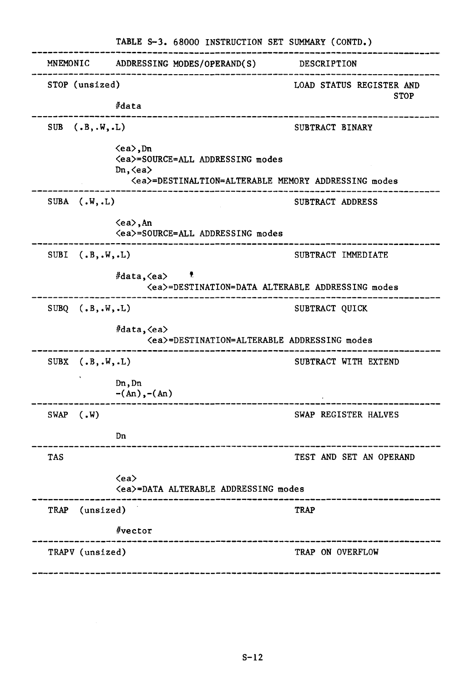|             |                     | TABLE S-3. 68000 INSTRUCTION SET SUMMARY (CONTD.)                                                                                                                       |                                         |
|-------------|---------------------|-------------------------------------------------------------------------------------------------------------------------------------------------------------------------|-----------------------------------------|
| MNEMONIC    |                     | ADDRESSING MODES/OPERAND(S)                                                                                                                                             | DESCRIPTION                             |
|             | STOP (unsized)      | #data                                                                                                                                                                   | LOAD STATUS REGISTER AND<br><b>STOP</b> |
|             | SUB $(.B, .W, .L)$  |                                                                                                                                                                         | SUBTRACT BINARY                         |
|             |                     | $\langle ea \rangle$ , Dn<br><ea>=SOURCE=ALL ADDRESSING modes<br/><math>Dn, \langle ea \rangle</math><br/><ea>=DESTINALTION=ALTERABLE MEMORY ADDRESSING modes</ea></ea> |                                         |
|             | SUBA $(N, L)$       |                                                                                                                                                                         | SUBTRACT ADDRESS                        |
|             |                     | <ea>, An<br/><ea>=SOURCE=ALL ADDRESSING modes</ea></ea>                                                                                                                 |                                         |
| <b>SUBI</b> | (.B, .W, .L)        |                                                                                                                                                                         | SUBTRACT IMMEDIATE                      |
|             |                     | #data, <ea><br/>Ť,<br/><ea>=DESTINATION=DATA ALTERABLE ADDRESSING modes</ea></ea>                                                                                       |                                         |
|             | SUBQ $(.B, .W, .L)$ |                                                                                                                                                                         | SUBTRACT QUICK                          |
|             |                     | #data, <ea><br/><ea>=DESTINATION=ALTERABLE ADDRESSING modes</ea></ea>                                                                                                   |                                         |
|             | SUBX $(.B, .W, .L)$ |                                                                                                                                                                         | SUBTRACT WITH EXTEND                    |
|             |                     | Dn, Dn<br>$-(An), -(An)$                                                                                                                                                |                                         |
| <b>SWAP</b> | (.W)                |                                                                                                                                                                         | SWAP REGISTER HALVES                    |
|             |                     | Dn                                                                                                                                                                      |                                         |
| <b>TAS</b>  |                     |                                                                                                                                                                         | TEST AND SET AN OPERAND                 |
|             |                     | $\langle$ ea><br><ea>=DATA ALTERABLE ADDRESSING modes</ea>                                                                                                              |                                         |
| TRAP        | (unsized)           |                                                                                                                                                                         | <b>TRAP</b>                             |
|             |                     | #vector                                                                                                                                                                 |                                         |
|             | TRAPV (unsized)     |                                                                                                                                                                         | TRAP ON OVERFLOW                        |
|             |                     |                                                                                                                                                                         |                                         |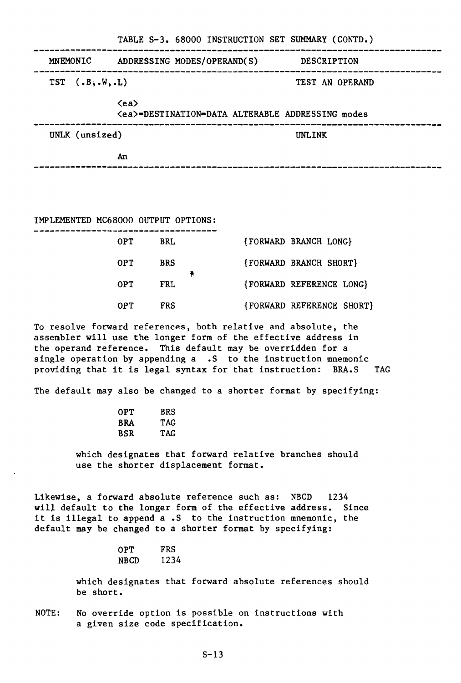|                      | TABLE S-3. 68000 INSTRUCTION SET SUMMARY (CONTD.)                               |                 |
|----------------------|---------------------------------------------------------------------------------|-----------------|
| MNEMONIC             | ADDRESSING MODES/OPERAND(S)                                                     | DESCRIPTION     |
| $TST$ $(.B, .W, .L)$ |                                                                                 | TEST AN OPERAND |
|                      | $\langle$ ea $\rangle$<br><ea>=DESTINATION=DATA ALTERABLE ADDRESSING modes</ea> |                 |
| UNLK (unsized)       |                                                                                 | <b>INLINK</b>   |
|                      | An                                                                              |                 |
|                      |                                                                                 |                 |

TABLE S-3. 68000 INSTRUCTION SET SUMMARY (CONTD.)

IMPLEMENTED MC68000 OUTPUT OPTIONS:

| 0PT.       | <b>BRL</b> |  | {FORWARD BRANCH LONG}     |
|------------|------------|--|---------------------------|
| 0PT.       | <b>BRS</b> |  | {FORWARD BRANCH SHORT}    |
| 0PT        | <b>FRL</b> |  | {FORWARD REFERENCE LONG}  |
| <b>OPT</b> | FRS        |  | {FORWARD REFERENCE SHORT} |

To resolve forward references, both relative and absolute, the assembler will use the longer form of the effective address in the operand reference. This default may be overridden for a single operation by appending a .S to the instruction mnemonic providing that it is legal syntax for that instruction: BRA.S TAG

The default may also be changed to a shorter format by specifying:

| 0PT | BRS        |
|-----|------------|
| BRA | <b>TAG</b> |
| BSR | TAG        |

which designates that forward relative branches should use the shorter displacement format.

Likewise, a forward absolute reference such as: NBCD 1234 will default to the longer form of the effective address. Since it is illegal to append a.S to the instruction mnemonic, the default may be changed to a shorter format by specifying:

| OPT  | FRS  |  |
|------|------|--|
| NBCD | 1234 |  |

which designates that forward absolute references should be short.

NOTE: No override option is possible on instructions with a given size code specification.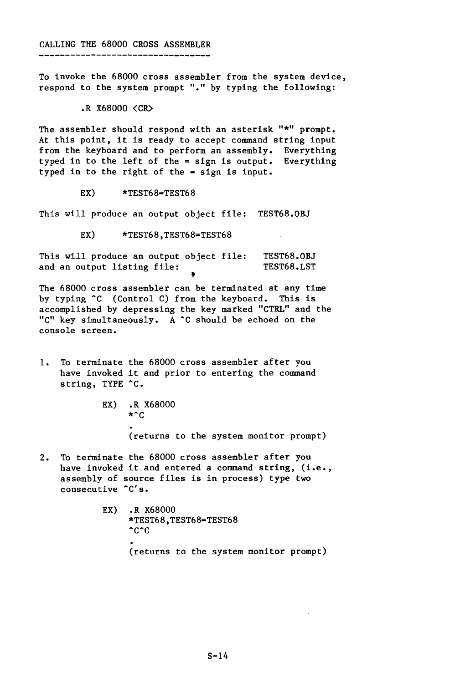To invoke the 68000 cross assembler from the system device, respond to the system prompt "." by typing the following:

.R X68000 (CR)

The assembler should respond with an asterisk "\*" prompt. At this point, it is ready to accept command string input from the keyboard and to perform an assembly. Everything typed in to the left of the = sign is output. Everything typed in to the right of the = sign is input.

EX) \*TEST68=TEST68

This will produce an output object file: TEST68.0BJ

EX) \*TEST68,TEST68=TEST68

This will produce an output object file: TEST68.0BJ<br>and an output listing file:<br>
† and an output listing file: TEST68.LST

The 68000 cross assembler can be terminated at any time by typing <sup>^</sup>C (Control C) from the keyboard. This is accomplished by depressing the key marked "CTRL" and the "C" key simultaneously. A ^C should be echoed on the console screen.

- 1. To terminate the 68000 cross assembler after you have invoked it and prior to entering the command string, TYPE ^C.
	- EX) **R** X68000  $*^c$ (returns to the system monitor prompt)
- 2. To terminate the 68000 cross assembler after you have invoked it and entered a command string, (i.e., assembly of source files is in process) type two consecutive  $C's.$ 
	- EX) R X68000 \*TEST68,TEST68=TEST68  $\textdegree$ c $\textdegree$ c (returns to the system monitor prompt)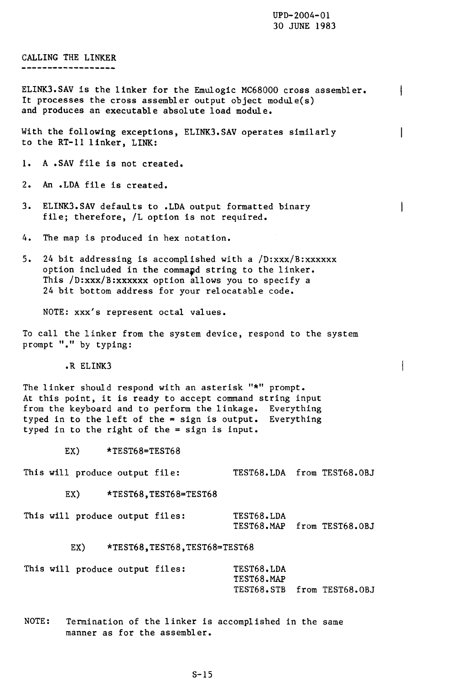$\mathbf{I}$ 

 $\mathsf{I}$ 

 $\mathbf{I}$ 

 $\mathbf{I}$ 

CALLING THE LINKER \_\_\_\_\_\_\_\_\_\_\_\_\_\_\_\_\_\_\_

ELINK3.SAV is the linker for the Emulogic MC68000 cross assembler. It processes the cross assembler output object module(s) and produces an executable absolute load module.

With the following exceptions, ELINK3.SAV operates similarly to the RT-ll linker, LINK:

1. A .SAV file is not created.

2. An .LDA file is created.

- 3. ELINK3.SAV defaults to .LDA output formatted binary file; therefore, /L option is not required.
- 4. The map is produced in hex notation.
- s. 24 bit addressing is accomplished with a /D:xxx/B:xxxxxx option included in the command string to the linker. This /D:xxx/B:xxxxxx option allows you to specify a 24 bit bottom address for your relocatable code.

NOTE: xxx's represent octal values.

To call the linker from the system device, respond to the system prompt "." by typing:

.R ELINK3

The linker should respond with an asterisk "\*" prompt. At this point, it is ready to accept command string input from the keyboard and to perform the linkage. Everything typed in to the left of the = sign is output. Everything typed in to the right of the = sign is input.

EX) \*TEST68=TEST68

This will produce output file: TEST68.LDA from TEST68.0BJ

EX) \*TEST68, TEST68=TEST68

This will produce output files: TEST68.LDA TEST68.MAP from TEST68.0BJ

EX) \*TEST68, TEST68, TEST68=TEST68

|  | This will produce output files: |  | TEST68.LDA                 |  |
|--|---------------------------------|--|----------------------------|--|
|  |                                 |  | TEST68.MAP                 |  |
|  |                                 |  | TEST68.STB from TEST68.OBJ |  |

NOTE: Termination of the linker is accomplished in the same manner as for the assembler.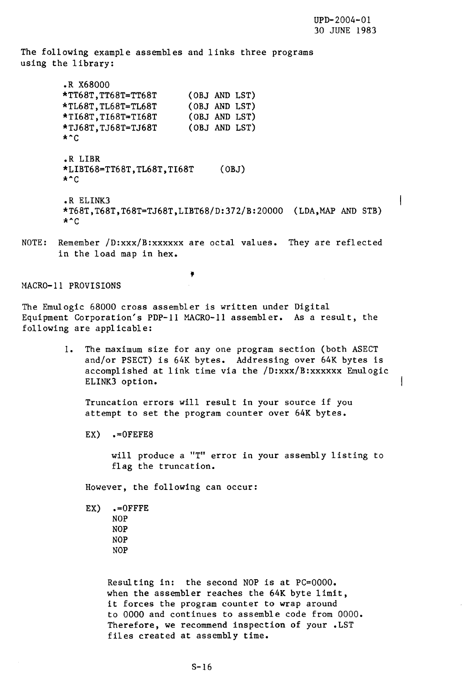$\vert$ 

The following example assembles and links three programs using the library:

> .R X68000 \*TT68T,TT68T=TT68T \*TL68T,TL68T=TL68T \*TI68T,TI68T=TI68T \*TJ68T,TJ68T=TJ68T  $*$   $\sim$   $\sim$ (OBJ AND LST) (OBJ AND LST) (OBJ AND LST) (OBJ AND LST) .R LIBR \*LIBT68=TT68T,TL68T,TI68T (OBJ)  $*$   $\degree$  C .R ELINK3 \*T68T,T68T,T68T=TJ68T,LIBT68/D:372/B:20000 (LDA,MAP AND STB)  $*$   $^{\circ}$  C

NOTE: Remember /D:xxx/B:xxxxxx are octal values. They are reflected in the load map in hex.

,

MACRO-II PROVISIONS

The Emulogic 68000 cross assembler is written under Digital Equipment Corporation's PDP-II MACRO-II assembler. As a result, the following are applicable:

> 1. The maximum size for any one program section (both ASECT and/or PSECT) is 64K bytes. Addressing over 64K bytes is accomplished at link time via the /D:xxx/B:xxxxxx Emulogic ELINK3 option.

Truncation errors will result in your source if you attempt to set the program counter over 64K bytes.

 $EX) \qquad -0$ FEFE8

will produce a "T" error in your assembly listing to flag the truncation.

However, the following can occur:

EX) .=OFFFE NOP NOP NOP NOP

> Resulting in: the second NOP is at PC=OOOO. when the assembler reaches the 64K byte limit, it forces the program counter to wrap around to 0000 and continues to assemble code from 0000. Therefore, we recommend inspection of your .LST files created at assembly time.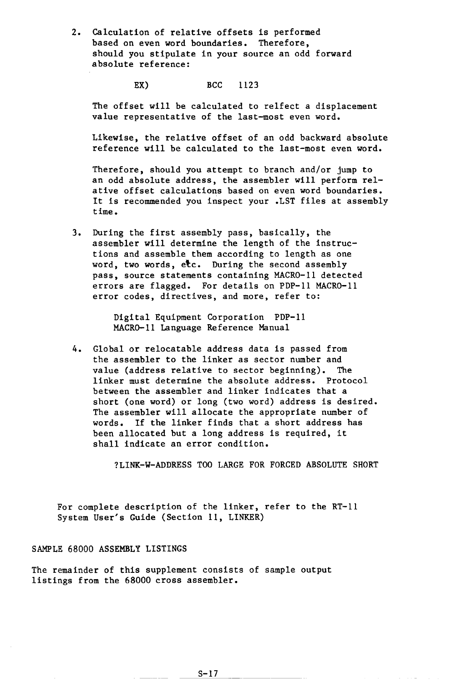2. Calculation of relative offsets is performed based on even word boundaries. Therefore, should you stipulate in your source an odd forward absolute reference:

EX) BCC 1123

The offset will be calculated to relfect a displacement value representative of the last-most even word.

Likewise, the relative offset of an odd backward absolute reference will be calculated to the last-most even word.

Therefore, should you attempt to branch and/or jump to an odd absolute address, the assembler will perform relative offset calculations based on even word boundaries. It is recommended you inspect your .LST files at assembly time.

3. During the first assembly pass, basically, the assembler will determine the length of the instructions and assemble them according to length as one word, two words, etc. During the second assembly pass, source statements containing MACRO-II detected errors are flagged. For details on PDP-II MACRO-II error codes, directives, and more, refer to:

> Digital Equipment Corporation PDP-II MACRO-II Language Reference Manual

4. Global or relocatable address data is passed from the assembler to the linker as sector number and value (address relative to sector beginning). The linker must determine the absolute address. Protocol between the assembler and linker indicates that a short (one word) or long (two word) address is desired. The assembler will allocate the appropriate number of words. If the linker finds that a short address has been allocated but a long address is required, it shall indicate an error condition.

?LINK-W-ADDRESS TOO LARGE FOR FORCED ABSOLUTE SHORT

For complete description of the linker, refer to the RT-II System User's Guide (Section 11, LINKER)

#### SAMPLE 68000 ASSEMBLY LISTINGS

The remainder of this supplement consists of sample output listings from the 68000 cross assembler.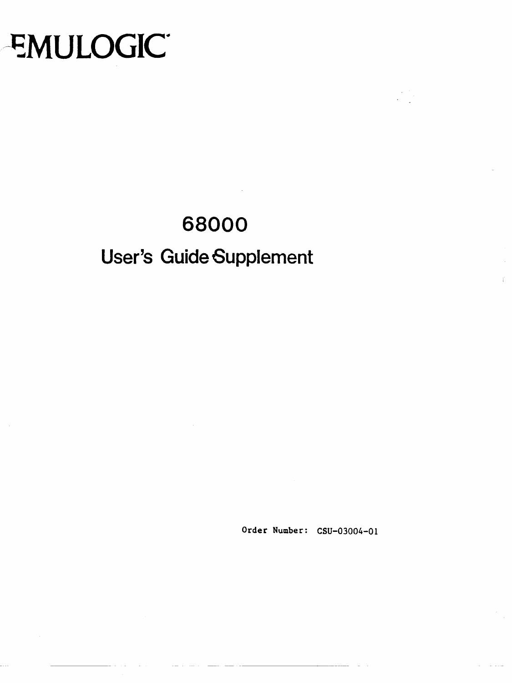# ~MULOGIC·

# **68000**

# **User's Guide Supplement**

Order Number: CSU-03004-01

--~~ --- ~~---~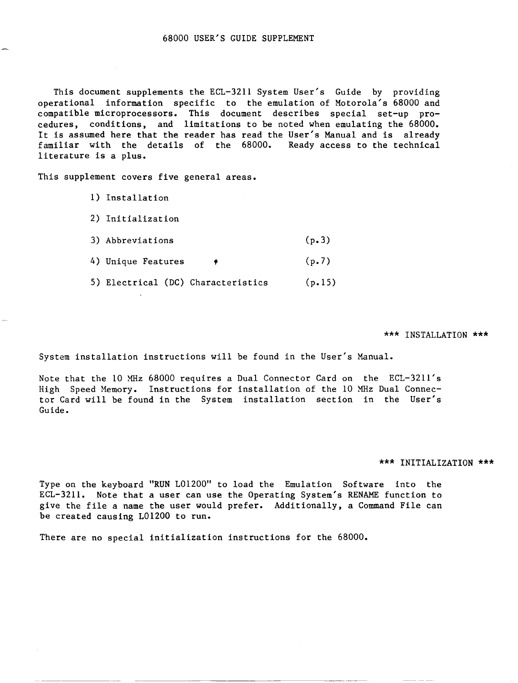This document supplements the ECL-3211 System User's Guide by providing operational information specific to the emulation of Motorola's 68000 and compatible microprocessors. This document describes special set-up procedures, conditions, and limitations to be noted when emulating the 68000. It is assumed here that the reader has read the User's Manual and is already familiar with the details of the 68000. Ready access to the technical literature is a plus.

This supplement covers five general areas.

- 1) Installation
- 2) Initialization
- 3) Abbreviations (p.3)
- 4) Unique Features  $\qquad \qquad \bullet$  (p.7)
- 5) Electrical (DC) Characteristics (p.15)

### \*\*\* INSTALLATION \*\*\*

System installation instructions will be found in the User's Manual.

Note that the 10 XHz 68000 requires a Dual Connector Card on the ECL-3211's High Speed Memory. Instructions for installation of the 10 XHz Dual Connector Card will be found in the System installation section in the User's Guide.

#### \*\*\* INITIALIZATION \*\*\*

Type on the keyboard "RUN L01200" to load the Emulation Software into the ECL-3211. Note that a user can use the Operating System's RENAME function to give the file a name the user would prefer. Additionally, a Command File can be created causing L01200 to run.

There are no special initialization instructions for the 68000.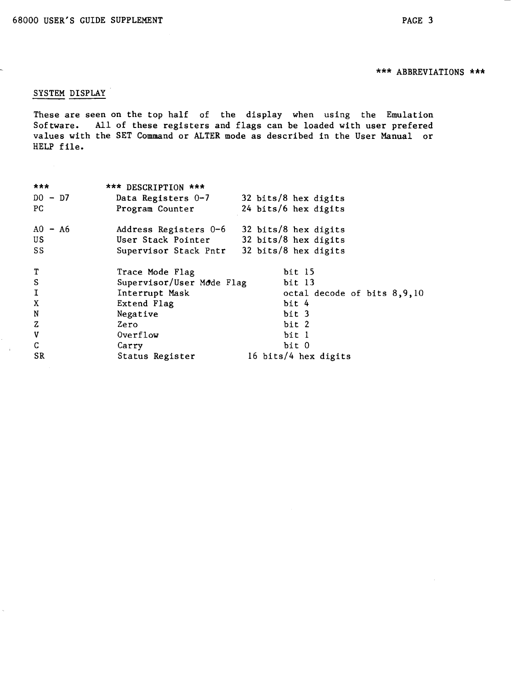# \*\*\* ABBREVIATIONS \*\*\*

# SYSTEM DISPLAY

These are seen on the top half of the display when using the Emulation Software. All of these registers and flags can be loaded with user prefered values with the SET Command or ALTER mode as described in the User Manual or HELP file.

| ***           | *** DESCRIPTION ***       |                             |
|---------------|---------------------------|-----------------------------|
| $DO - D7$     | Data Registers 0-7        | 32 bits/8 hex digits        |
| PC.           | Program Counter           | 24 bits/6 hex digits        |
| $AO - A6$     | Address Registers 0-6     | 32 bits/8 hex digits        |
| US            | User Stack Pointer        | 32 bits/8 hex digits        |
| SS            | Supervisor Stack Pntr     | 32 bits/8 hex digits        |
| $\mathbf T$   | Trace Mode Flag           | bit 15                      |
| ${\mathbb S}$ | Supervisor/User Mode Flag | bit 13                      |
| $\mathbf I$   | Interrupt Mask            | octal decode of bits 8,9,10 |
| X             | Extend Flag               | bit 4                       |
| N             | Negative                  | bit 3                       |
| $\mathbf{z}$  | Zero                      | bit 2                       |
| $\mathbf v$   | Overflow                  | bit l                       |
| $\mathsf C$   | Carry                     | bit 0                       |
| SR            | Status Register           | 16 bits/4 hex digits        |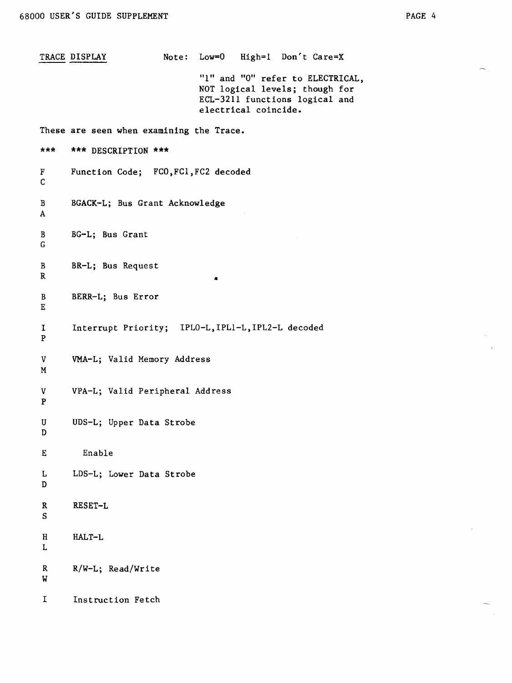TRACE DISPLAY Note: Low=O High=l Don't Care=X "1" and "0" refer to ELECTRICAL, NOT logical levels; though for ECL-32ll functions logical and electrical coincide. These are seen when examining the Trace. \*\*\* **\*\*\*** DESCRIPTION **\*\*\***  F Function Code; FCO, FC1, FC2 decoded C B BGACK-L; Bus Grant Acknowledge A B BG-L; Bus Grant G B R BR-L; Bus Request B BERR-L; Bus Error E • I Interrupt Priority; IPLO-L,IPLl-L,IPL2-L decoded P v VMA-L; Valid Memory Address M V VPA-L; Valid Peripheral Address P U UDS-L; Upper Data Strobe D E Enable L LDS-L; Lower Data Strobe D R RESET-L S H HALT-L L R R/W-L; Read/Write W I Instruction Fetch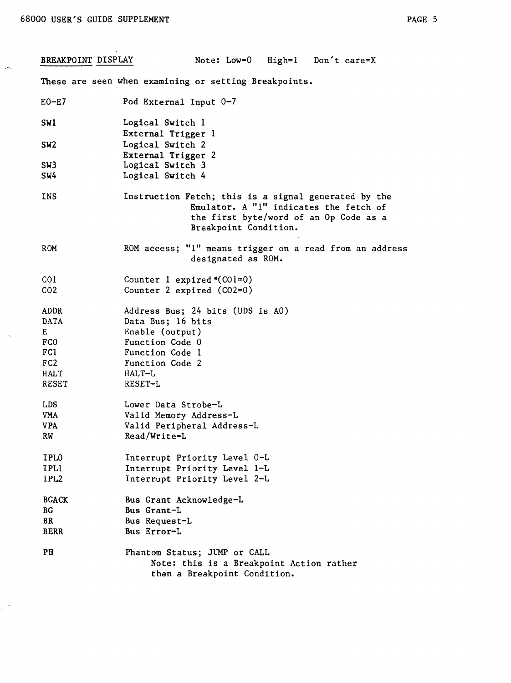BREAKPOINT DISPLAY Note: Low=0 High=1 Don't care=X These are seen when examining or setting Breakpoints.  $E0-E7$ SWI SW2 SW3 SW4 INS ROM COl C02 ADDR DATA E FCO FCI F<sub>C2</sub> HALT RESET LDS VMA VPA RW IPLO IPLI IPL2 BGACK BG BR BERR PH Pod External Input 0-7 Logical Switch 1 External Trigger 1 Logical Switch 2 External Trigger 2 Logical Switch 3 Logical Switch 4 Instruction Fetch; this is a signal generated by the Emulator. A "1" indicates the fetch of the first byte/word of an Op Code as a Breakpoint Condition. ROM access; "1" means trigger on a read from an address designated as ROM. Counter 1 expired  $O(CO1=0)$ Counter 2 expired (C02=0) Address Bus; 24 bits (UDS is AO) Data Bus; 16 bits Enable (output) Function Code 0 Function Code 1 Function Code 2 HALT-L RESET-L Lower Data Strobe-L Valid Memory Address-L Valid Peripheral Address-L Read/Write-L Interrupt Priority Level O-L Interrupt Priority Level l-L Interrupt Priority Level 2-L Bus Grant Acknowledge-L Bus Grant-L Bus Request-L Bus Error-L Phantom Status; JUMP or CALL Note: this is a Breakpoint Action rather than a Breakpoint Condition.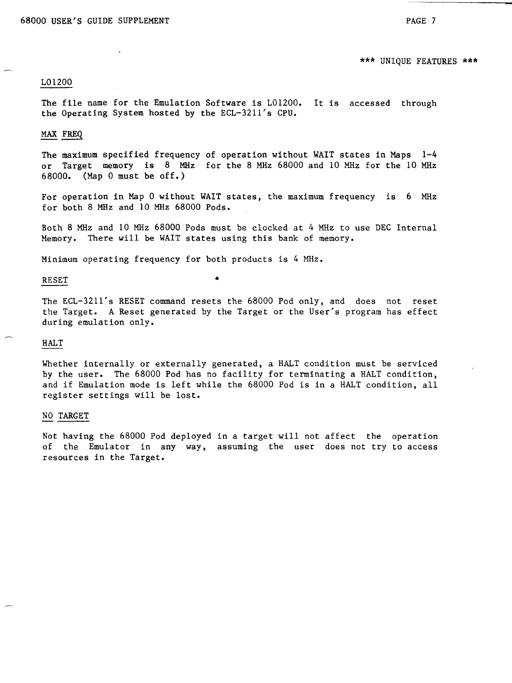\*\*\* UNIQUE FEATURES \*\*\*

# L01200

The file name for the Emulation Software is L01200. It is accessed through the Operating System hosted by the ECL-3211's CPU.

# MAX FREQ

The maximum specified frequency of operation without WAIT states in Maps 1-4 or Target memory is 8 MHz for the 8 MHz 68000 and 10 MHz for the 10 MHz 68000. (Map 0 must be off.)

For operation in Map 0 without WAIT states, the maximum frequency is 6 MHz for both 8 MHz and 10 MHz 68000 Pods.

Both 8 MHz and 10 MHz 68000 Pods must be clocked at 4 MHz to use DEC Internal Memory. There will be WAIT states using this bank of memory.

Minimum operating frequency for both products is 4 MHz •

# RESET  $\bullet$

The ECL-3211's RESET command resets the 68000 Pod only, and does not reset the Target. A Reset generated by the Target or the User's program has effect during emulation only.

#### HALT

Whether internally or externally generated, a HALT condition must be serviced by the user. The 68000 Pod has no facility for terminating a HALT condition, and if Emulation mode is left while the 68000 Pod is in a HALT condition, all register settings will be lost.

#### NO TARGET

Not having the 68000 Pod deployed in a target will not affect the operation of the Emulator in any way, assuming the user does not try to access resources in the Target.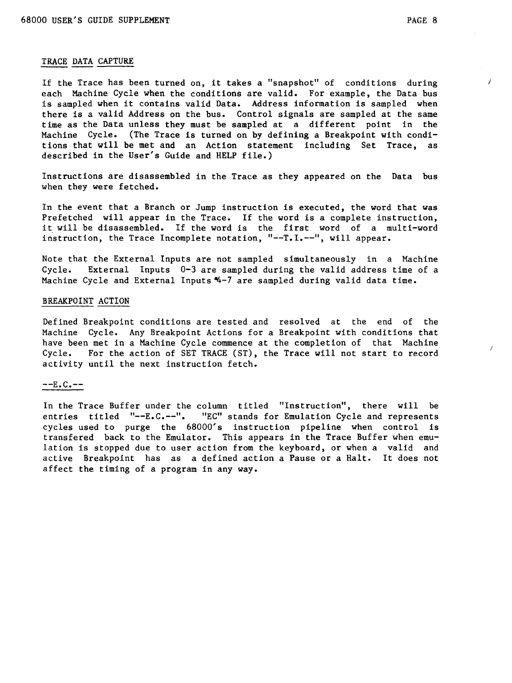)

# TRACE DATA CAPTURE

If the Trace has been turned on, it takes a "snapshot" of conditions during each Machine Cycle when the conditions are valid. For example, the Data bus is sampled when it contains valid Data. Address information is sampled when there is a valid Address on the bus. Control signals are sampled at the same time as the Data unless they must be sampled at a different point in the Machine Cycle. (The Trace is turned on by defining a Breakpoint with conditions that will be met and an Action statement including Set Trace, as described in the User's Guide and HELP file.)

Instructions are disassembled in the Trace as they appeared on the Data bus when they were fetched.

In the event that a Branch or Jump instruction is executed, the word that was Prefetched will appear in the Trace. If the word is a complete instruction, it will be disassembled. If the word is the first word of a multi-word instruction, the Trace Incomplete notation, "--T.I.--", will appear.

Note that the External Inputs are not sampled simultaneously in a Machine<br>Cycle. External Inputs 0-3 are sampled during the valid address time of a External Inputs  $0-3$  are sampled during the valid address time of a Machine Cycle and External Inputs  $4-7$  are sampled during valid data time.

# BREAKPOINT ACTION

Defined Breakpoint conditions are tested and resolved at the end of the Machine Cycle. Any Breakpoint Actions for a Breakpoint with conditions that have been met in a Machine Cycle commence at the completion of that Machine Cycle. For the action of SET TRACE (ST), the Trace will not start to record activity until the next instruction fetch.

#### --E.C.--

In the Trace Buffer under the column titled "Instruction", there will be entries titled "--E.C.--". "EC" stands for Emulation Cycle and represents cycles used to purge the 68000's instruction pipeline when control is transfered back to the Emulator. This appears in the Trace Buffer when emulation is stopped due to user action from the keyboard, or when a valid and active Breakpoint has as a defined action a Pause or a Halt. It does not affect the timing of a program in any way.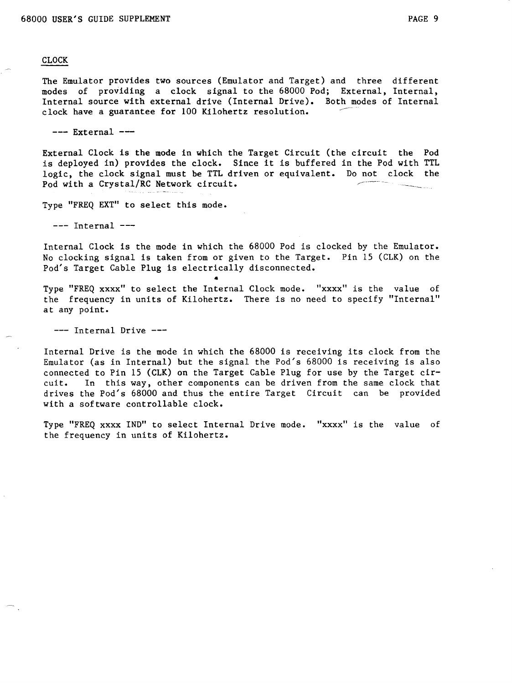# CLOCK

The Emulator provides two sources (Emulator and Target) and three different modes of providing a clock signal to the 68000 Pod; External, Internal, Internal source with external drive (Internal Drive). Both modes of Internal clock have a guarantee for 100 Kilohertz resolution.

 $---$  External  $---$ 

External Clock is the mode in which the Target Circuit (the circuit the Pod is deployed in) provides the clock. Since it is buffered in the Pod with TTL logic, the clock signal must be TTL driven or equivalent. Do not clock the Pod with a Crystal/RC Network circuit.

Type "FREQ EXT" to select this mode.

 $---$  Internal  $---$ 

Internal Clock is the mode in which the 68000 Pod is clocked by the Emulator. No clocking signal is taken from or given to the Target. Pin IS (CLK) on the Pod's Target Cable Plug is electrically disconnected.

• Type "FREQ xxxx" to select the Internal Clock mode. "xxxx" is the value of the frequency in units of Kilohertz. There is no need to specify "Internal" at any point.

--- Internal Drive ---

Internal Drive is the mode in which the 68000 is receiving its clock from the Emulator (as in Internal) but the signal the Pod's 68000 is receiving is also connected to Pin IS (CLK) on the Target Cable Plug for use by the Target circuit. In this way, other components can be driven from the same clock that drives the Pod's 68000 and thus the entire Target Circuit can be provided with a software controllable clock.

Type "FREQ xxxx IND" to select Internal Drive mode. "xxxx" is the value of the frequency in units of Kilohertz.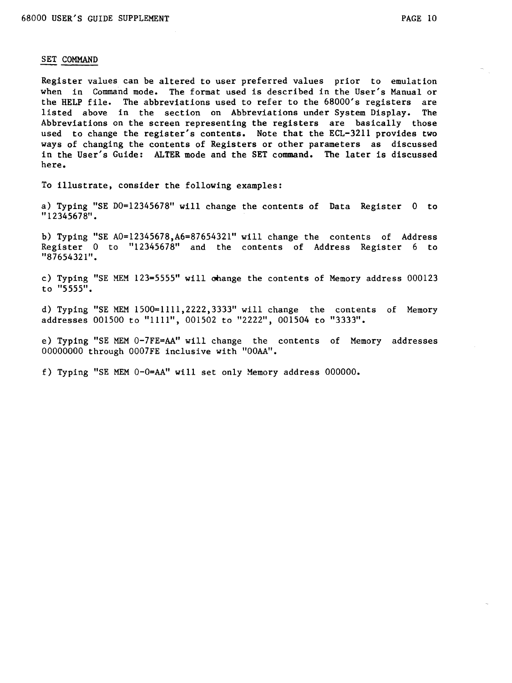#### SET COMMAND

Register values can be altered to user preferred values prior to emulation when in Command mode. The format used is described in the User's Manual or the HELP file. The abbreviations used to refer to the 68000's registers are<br>listed above in the section on Abbreviations under System Display. The listed above in the section on Abbreviations under System Display. Abbreviations on the screen representing the registers are basically those used to change the register's contents. Note that the ECL-3211 provides two ways of changing the contents of Registers or other parameters as discussed in the User's Guide: ALTER mode and the SET command. The later is discussed here.

To illustrate, consider the following examples:

a) Typing "SE DO=12345678" will change the contents of Data Register 0 to "12345678".

b) Typing "SE A0=12345678, A6=87654321" will change the contents of Address Register 0 to "12345678" and the contents of Address Register 6 to "87654321".

c) Typing "SE MEM 123=5555" will change the contents of Memory address 000123 to "5555".

d) Typing "SE MEM 1500=1111,2222,3333" will change the contents of Memory addresses 001500 to "1111", 001502 to "2222", 001504 to "3333".

e) Typing "SE MEM 0-7FE=AA" will change the contents of Memory addresses 00000000 through 0007FE inclusive with "OOAA".

f) Typing "SE MEM O-O=AA" will set only Memory address 000000.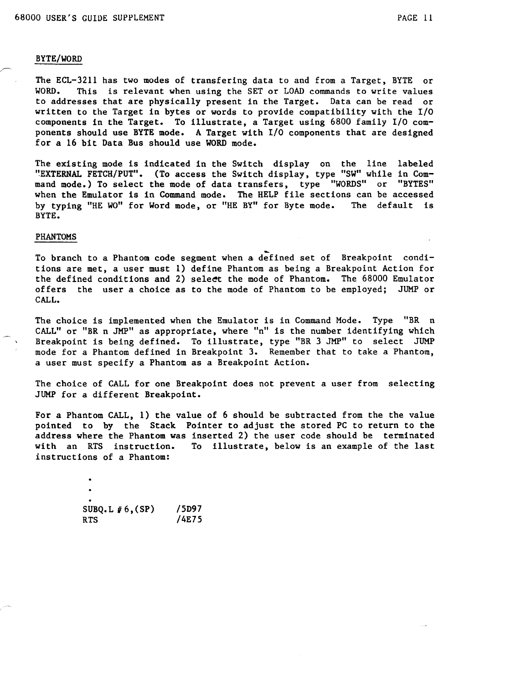### BYTE/WORD

The ECL-3211 has two modes of transfering data to and from a Target, BYTE or This is relevant when using the SET or LOAD commands to write values to addresses that are physically present in the Target. Data can be read or written to the Target in bytes or words to provide compatibility with the I/O components in the Target. To illustrate, a Target using 6800 family I/O components should use BYTE mode. A Target with I/O components that are designed for a 16 bit Data Bus should use WORD mode.

The existing mode is indicated in the Switch display on the line labeled "EXTERNAL FETCH/PUT". (To access the Switch display, type "SW" while in Command mode.) To select the mode of data transfers, type "WORDS" or "BYTES" when the Emulator is in Command mode. The HELP file sections can be accessed<br>by typing "HE WO" for Word mode, or "HE BY" for Byte mode. The default is by typing "HE WO" for Word mode, or "HE BY" for Byte mode. BYTE.

### PHANTOMS

To branch to a Phantom code segment when a defined set of Breakpoint conditions are met, a user must 1) define Phantom as being a Breakpoint Action for the defined conditions and 2) select the mode of Phantom. The 68000 Emulator offers the user a choice as to the mode of Phantom to be employed; JUMP or CALL.

The choice is implemented when the Emulator is in Command Mode. Type "BR n CALL" or "BR n JMP" as appropriate, where "n" is the number identifying which Breakpoint is being defined. To illustrate, type "BR 3 JMP" to select JUMP mode for a Phantom defined in Breakpoint 3. Remember that to take a Phantom, a user must specify a Phantom as a Breakpoint Action.

The choice of CALL for one Breakpoint does not prevent a user from selecting JUMP for a different Breakpoint.

For a Phantom CALL, 1) the value of 6 should be subtracted from the the value pointed to by the Stack Pointer to adjust the stored PC to return to the address where the Phantom was inserted 2) the user code should be terminated with an RTS instruction. To illustrate, below is an example of the last To illustrate, below is an example of the last instructions of a Phantom:

| SUBQ.L $#6$ , (SP) | /5D97 |
|--------------------|-------|
| <b>RTS</b>         | /4E75 |
|                    |       |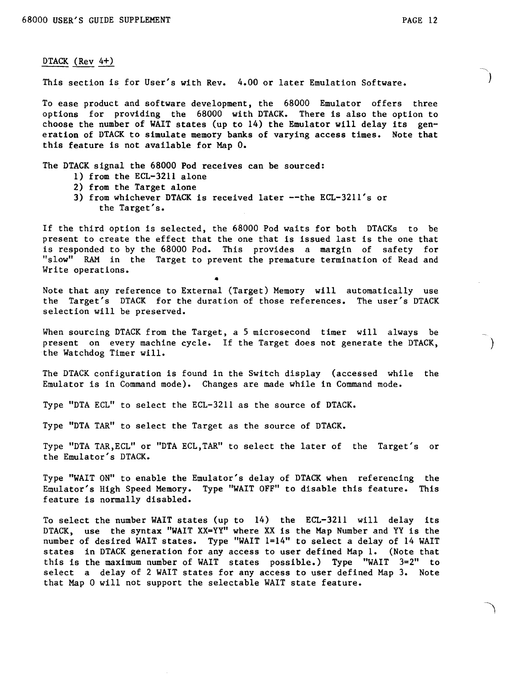)

)

# DTACK (Rev 4+)

This section is for User's with Rev. 4.00 or later Emulation Software.

To ease product and software development, the 68000 Emulator offers three options for providing the 68000 with DTACK. There is also the option to choose the number of WAIT states (up to 14) the Emulator will delay its generation of DTACK to simulate memory banks of varying access times. Note that this feature is not available for Map O.

The DTACK signal the 68000 Pod receives can be sourced:

- 1) from the ECL-3211 alone
- 2) from the Target alone
- 3) from whichever DTACK is received later --the ECL-3211's or the Target's.

If the third option is selected, the 68000 Pod waits for both DTACKs to be present to create the effect that the one that is issued last is the one that is responded to by the 68000 Pod. This provides a margin of safety for "slow" RAM in the Target to prevent the premature termination of Read and Write operations. •

Note that any reference to External (Target) Memory will automatically use the Target's DTACK for the duration of those references. The user's DTACK selection will be preserved.

When sourcing DTACK from the Target, a 5 microsecond timer will always be present on every machine cycle. If the Target does not generate the DTACK, the Watchdog Timer will.

The DTACK configuration is found in the Switch display (accessed while the Emulator is in Command mode). Changes are made while in Command mode.

Type "DTA ECL" to select the ECL-3211 as the source of DTACK.

Type "DTA TAR" to select the Target as the source of DTACK.

Type "DTA TAR,ECL" or "DTA ECL,TAR" to select the later of the Target's or the Emulator's DTACK.

Type "WAIT ON" to enable the Emulator's delay of DTACK when referencing the Emulator's High Speed Memory. Type "WAIT OFF" to disable this feature. This feature is normally disabled.

To select the number WAIT states (up to 14) the ECL-3211 will delay its DTACK, use the syntax "WAIT XX=YY" where XX is the Map Number and YY is the number of desired WAIT states. Type "WAIT 1=14" to select a delay of 14 WAIT states in DTACK generation for any access to user defined Map 1. (Note that this is the maximum number of WAIT states possible.) Type "WAIT 3=2" to select a delay of 2 WAIT states for any access to user defined Map 3. Note that Map 0 will not support the selectable WAIT state feature.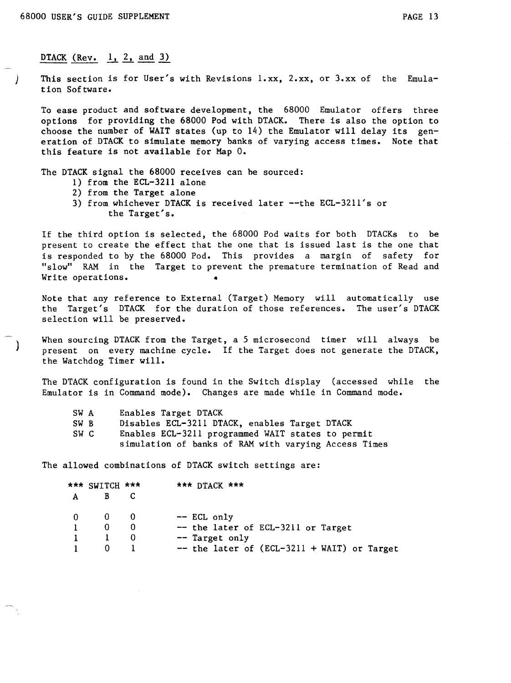$\bigcap$ 

# DTACK (Rev.  $1, 2,$  and 3)

) This section is for User's with Revisions l.xx, 2.xx, or 3.xx of the Emulation Software.

To ease product and software development, the 68000 Emulator offers three options for providing the 68000 Pod with DTACK. There is also the option to choose the number of WAIT states (up to  $14$ ) the Emulator will delay its generation of DTACK to simulate memory banks of varying access times. Note that this feature is not available for Map O.

The DTACK signal the 68000 receives can be sourced:

- 1) from the ECL-3211 alone
- 2) from the Target alone
- 3) from whichever DTACK is received later --the ECL-3211's or the Target's.

If the third option is selected, the 68000 Pod waits for both DTACKs to be present to create the effect that the one that is issued last is the one that is responded to by the 68000 Pod. This provides a margin of safety for "slow" RAM in the Target to prevent the premature termination of Read and Write operations. 4

Note that any reference to External (Target) Memory will automatically use the Target's DTACK for the duration of those references. The user's DTACK selection will be preserved.

When sourcing DTACK from the Target, a 5 microsecond timer will always be present on every machine cycle. If the Target does not generate the DTACK, the Watchdog Timer will.

The DTACK configuration is found in the Switch display (accessed while the Emulator is in Command mode). Changes are made while in Command mode.

| SW A | Enables Target DTACK                                 |  |
|------|------------------------------------------------------|--|
| SW B | Disables ECL-3211 DTACK, enables Target DTACK        |  |
| SW C | Enables ECL-3211 programmed WAIT states to permit    |  |
|      | simulation of banks of RAM with varying Access Times |  |

The allowed combinations of DTACK switch settings are:

|                | *** SWITCH *** |     | $\star\star\star$ DTACK $\star\star\star$    |
|----------------|----------------|-----|----------------------------------------------|
| A              |                |     |                                              |
| $\overline{0}$ | - 0 -          | - 0 | -- ECL only                                  |
|                | 0              |     | -- the later of ECL-3211 or Target           |
|                |                |     | -- Target only                               |
|                |                |     | $-$ the later of (ECL-3211 + WAIT) or Target |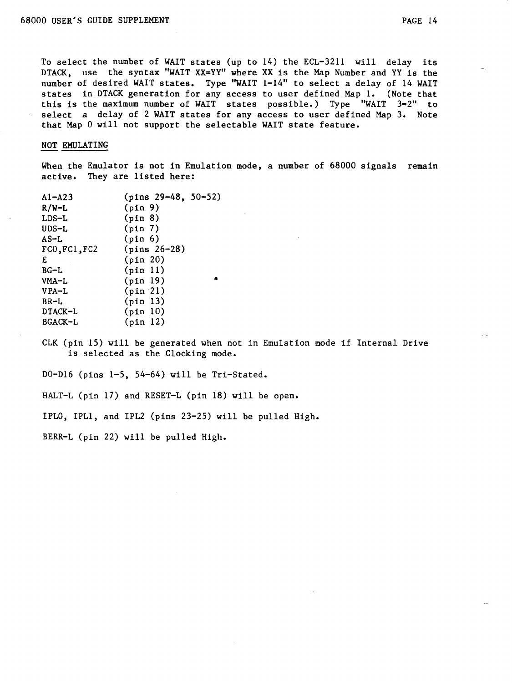To select the number of WAIT states (up to 14) the ECL-3211 will delay its DTACK, use the syntax "WAIT XX=YY" where XX is the Map Number and YY is the number of desired WAIT states. Type "WAIT 1=14" to select a delay of 14 WAIT states in DTACK generation for any access to user defined Map 1. (Note that this is the maximum number of WAIT states possible.) Type "WAIT 3=2" to select a delay of 2 WAIT states for any access to user defined Map 3. Note that Map 0 will not support the selectable WAIT state feature.

#### NOT EMULATING

When the Emulator is not in Emulation mode, a number of 68000 signals remain active. They are listed here:

| $AI - A23$    | $(pins 29-48, 50-52)$ |
|---------------|-----------------------|
| $R/W-L$       | (pin 9)               |
| $LDS-L$       | (pin 8)               |
| $UDS-L$       | (pin 7)               |
| $AS-L$        | (pin 6)               |
| FC0, FC1, FC2 | $(pins 26-28)$        |
| Е             | (pin 20)              |
| $BC-L$        | (pin 11)              |
| VMA-L         | (pin 19)              |
| VPA-L         | (pin 21)              |
| $BR-L$        | (pin 13)              |
| DTACK-L       | (pin 10)              |
| BGACK-L       | (pin 12)              |

CLK (pin 15) will be generated when not in Emulation mode if Internal Drive is selected as the Clocking mode.

DO-DI6 (pins 1-5, 54-64) will be Tri-Stated.

HALT-L (pin 17) and RESET-L (pin 18) will be open.

IPLO, IPLl, and IPL2 (pins 23-25) will be pulled High.

BERR-L (pin 22) will be pulled High.